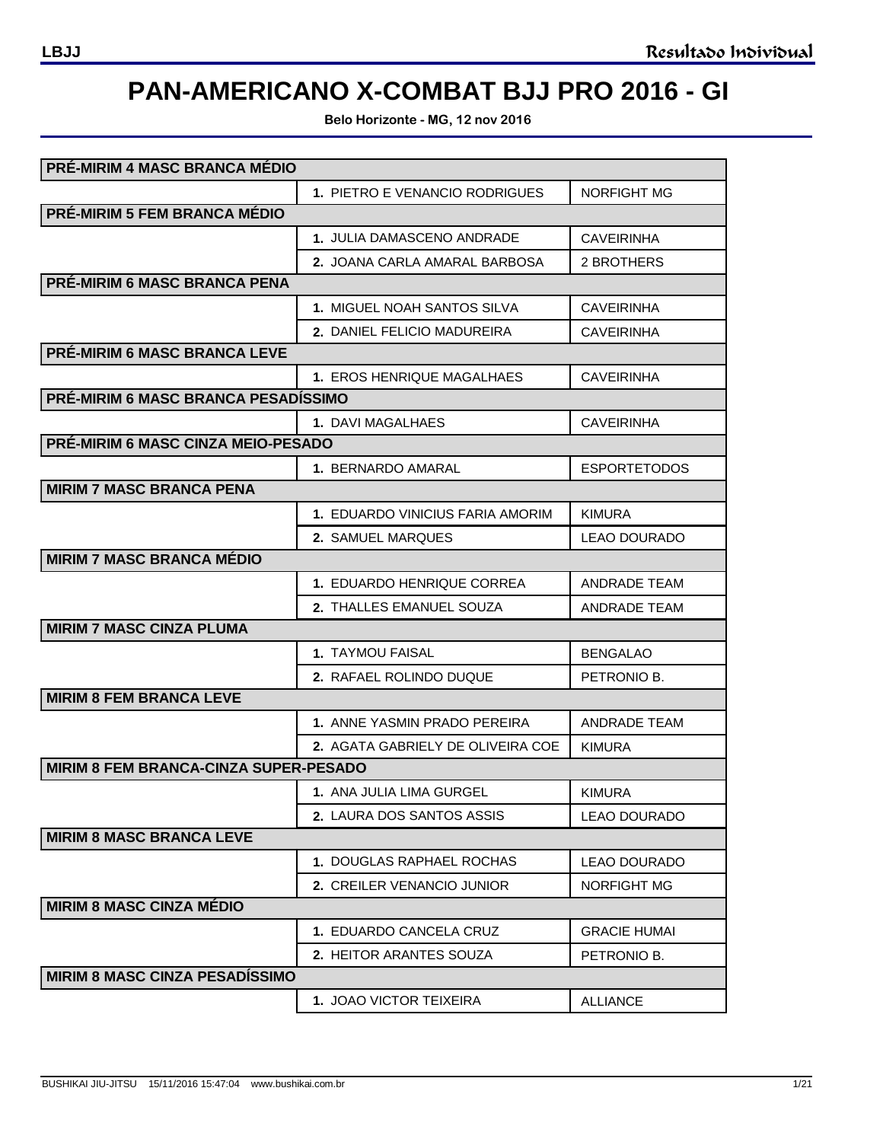# **PAN-AMERICANO X-COMBAT BJJ PRO 2016 - GI**

**Belo Horizonte - MG, 12 nov 2016**

| PRÉ-MIRIM 4 MASC BRANCA MÉDIO                |                                   |                     |
|----------------------------------------------|-----------------------------------|---------------------|
|                                              | 1. PIETRO E VENANCIO RODRIGUES    | <b>NORFIGHT MG</b>  |
| PRÉ-MIRIM 5 FEM BRANCA MÉDIO                 |                                   |                     |
|                                              | 1. JULIA DAMASCENO ANDRADE        | <b>CAVEIRINHA</b>   |
|                                              | 2. JOANA CARLA AMARAL BARBOSA     | 2 BROTHERS          |
| <b>PRÉ-MIRIM 6 MASC BRANCA PENA</b>          |                                   |                     |
|                                              | 1. MIGUEL NOAH SANTOS SILVA       | <b>CAVEIRINHA</b>   |
|                                              | 2. DANIEL FELICIO MADUREIRA       | <b>CAVEIRINHA</b>   |
| <b>PRÉ-MIRIM 6 MASC BRANCA LEVE</b>          |                                   |                     |
|                                              | 1. EROS HENRIQUE MAGALHAES        | <b>CAVEIRINHA</b>   |
| <b>PRÉ-MIRIM 6 MASC BRANCA PESADÍSSIMO</b>   |                                   |                     |
|                                              | 1. DAVI MAGALHAES                 | <b>CAVEIRINHA</b>   |
| PRÉ-MIRIM 6 MASC CINZA MEIO-PESADO           |                                   |                     |
|                                              | 1. BERNARDO AMARAL                | <b>ESPORTETODOS</b> |
| <b>MIRIM 7 MASC BRANCA PENA</b>              |                                   |                     |
|                                              | 1. EDUARDO VINICIUS FARIA AMORIM  | <b>KIMURA</b>       |
|                                              | 2. SAMUEL MARQUES                 | <b>LEAO DOURADO</b> |
| <b>MIRIM 7 MASC BRANCA MÉDIO</b>             |                                   |                     |
|                                              | 1. EDUARDO HENRIQUE CORREA        | ANDRADE TEAM        |
|                                              | 2. THALLES EMANUEL SOUZA          | <b>ANDRADE TEAM</b> |
| <b>MIRIM 7 MASC CINZA PLUMA</b>              |                                   |                     |
|                                              | <b>1. TAYMOU FAISAL</b>           | <b>BENGALAO</b>     |
|                                              | 2. RAFAEL ROLINDO DUQUE           | PETRONIO B.         |
| <b>MIRIM 8 FEM BRANCA LEVE</b>               |                                   |                     |
|                                              | 1. ANNE YASMIN PRADO PEREIRA      | <b>ANDRADE TEAM</b> |
|                                              | 2. AGATA GABRIELY DE OLIVEIRA COE | <b>KIMURA</b>       |
| <b>MIRIM 8 FEM BRANCA-CINZA SUPER-PESADO</b> |                                   |                     |
|                                              | 1. ANA JULIA LIMA GURGEL          | <b>KIMURA</b>       |
|                                              | 2. LAURA DOS SANTOS ASSIS         | <b>LEAO DOURADO</b> |
| <b>MIRIM 8 MASC BRANCA LEVE</b>              |                                   |                     |
|                                              | 1. DOUGLAS RAPHAEL ROCHAS         | <b>LEAO DOURADO</b> |
|                                              | 2. CREILER VENANCIO JUNIOR        | <b>NORFIGHT MG</b>  |
| <b>MIRIM 8 MASC CINZA MÉDIO</b>              |                                   |                     |
|                                              | 1. EDUARDO CANCELA CRUZ           | <b>GRACIE HUMAI</b> |
|                                              | 2. HEITOR ARANTES SOUZA           | PETRONIO B.         |
| <b>MIRIM 8 MASC CINZA PESADÍSSIMO</b>        |                                   |                     |
|                                              | <b>1. JOAO VICTOR TEIXEIRA</b>    | <b>ALLIANCE</b>     |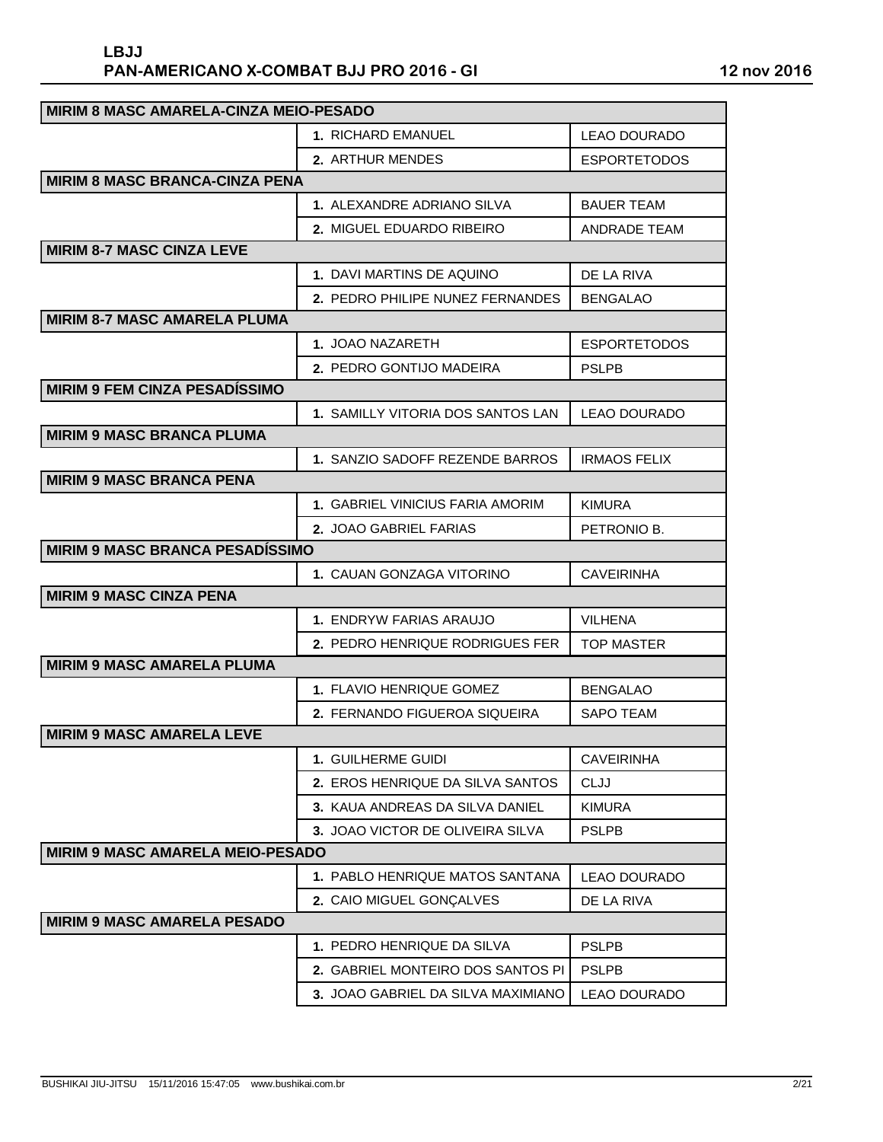| <b>MIRIM 8 MASC AMARELA-CINZA MEIO-PESADO</b> |                                    |                     |
|-----------------------------------------------|------------------------------------|---------------------|
|                                               | 1. RICHARD EMANUEL                 | LEAO DOURADO        |
|                                               | 2. ARTHUR MENDES                   | <b>ESPORTETODOS</b> |
| <b>MIRIM 8 MASC BRANCA-CINZA PENA</b>         |                                    |                     |
|                                               | <b>1. ALEXANDRE ADRIANO SILVA</b>  | <b>BAUER TEAM</b>   |
|                                               | 2. MIGUEL EDUARDO RIBEIRO          | ANDRADE TEAM        |
| <b>MIRIM 8-7 MASC CINZA LEVE</b>              |                                    |                     |
|                                               | 1. DAVI MARTINS DE AQUINO          | DE LA RIVA          |
|                                               | 2. PEDRO PHILIPE NUNEZ FERNANDES   | <b>BENGALAO</b>     |
| <b>MIRIM 8-7 MASC AMARELA PLUMA</b>           |                                    |                     |
|                                               | <b>1. JOAO NAZARETH</b>            | <b>ESPORTETODOS</b> |
|                                               | <b>2. PEDRO GONTIJO MADEIRA</b>    | <b>PSLPB</b>        |
| <b>MIRIM 9 FEM CINZA PESADÍSSIMO</b>          |                                    |                     |
|                                               | 1. SAMILLY VITORIA DOS SANTOS LAN  | <b>LEAO DOURADO</b> |
| <b>MIRIM 9 MASC BRANCA PLUMA</b>              |                                    |                     |
|                                               | 1. SANZIO SADOFF REZENDE BARROS    | <b>IRMAOS FELIX</b> |
| <b>MIRIM 9 MASC BRANCA PENA</b>               |                                    |                     |
|                                               | 1. GABRIEL VINICIUS FARIA AMORIM   | <b>KIMURA</b>       |
|                                               | 2. JOAO GABRIEL FARIAS             | PETRONIO B.         |
| <b>MIRIM 9 MASC BRANCA PESADÍSSIMO</b>        |                                    |                     |
|                                               | 1. CAUAN GONZAGA VITORINO          | <b>CAVEIRINHA</b>   |
| <b>MIRIM 9 MASC CINZA PENA</b>                |                                    |                     |
|                                               | 1. ENDRYW FARIAS ARAUJO            | <b>VILHENA</b>      |
|                                               | 2. PEDRO HENRIQUE RODRIGUES FER    | <b>TOP MASTER</b>   |
| <b>MIRIM 9 MASC AMARELA PLUMA</b>             |                                    |                     |
|                                               | 1. FLAVIO HENRIQUE GOMEZ           | <b>BENGALAO</b>     |
|                                               | 2. FERNANDO FIGUEROA SIQUEIRA      | <b>SAPO TEAM</b>    |
| <b>MIRIM 9 MASC AMARELA LEVE</b>              |                                    |                     |
|                                               | 1. GUILHERME GUIDI                 | <b>CAVEIRINHA</b>   |
|                                               | 2. EROS HENRIQUE DA SILVA SANTOS   | <b>CLJJ</b>         |
|                                               | 3. KAUA ANDREAS DA SILVA DANIEL    | <b>KIMURA</b>       |
|                                               | 3. JOAO VICTOR DE OLIVEIRA SILVA   | <b>PSLPB</b>        |
| <b>MIRIM 9 MASC AMARELA MEIO-PESADO</b>       |                                    |                     |
|                                               | 1. PABLO HENRIQUE MATOS SANTANA    | LEAO DOURADO        |
|                                               | 2. CAIO MIGUEL GONÇALVES           | DE LA RIVA          |
| <b>MIRIM 9 MASC AMARELA PESADO</b>            |                                    |                     |
|                                               | 1. PEDRO HENRIQUE DA SILVA         | <b>PSLPB</b>        |
|                                               | 2. GABRIEL MONTEIRO DOS SANTOS PI  | <b>PSLPB</b>        |
|                                               | 3. JOAO GABRIEL DA SILVA MAXIMIANO | LEAO DOURADO        |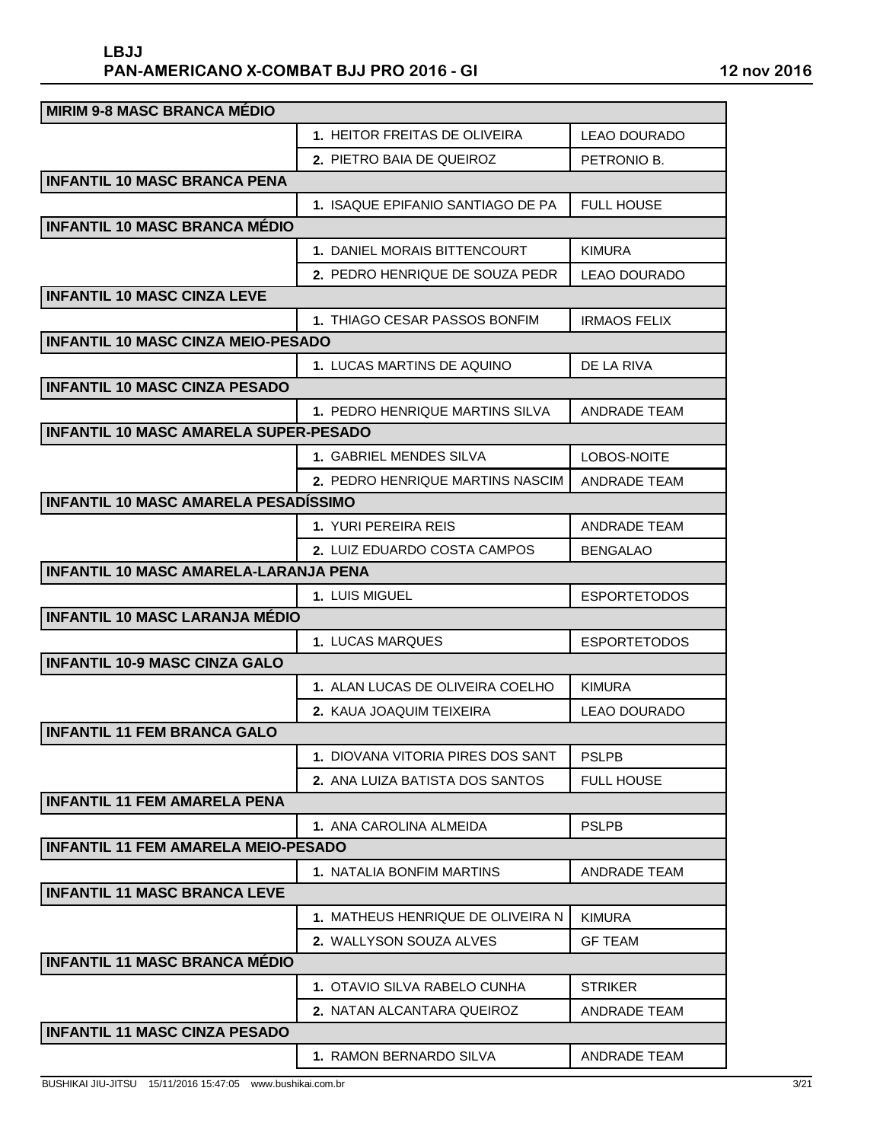| <b>MIRIM 9-8 MASC BRANCA MÉDIO</b>           |                                   |                     |
|----------------------------------------------|-----------------------------------|---------------------|
|                                              | 1. HEITOR FREITAS DE OLIVEIRA     | LEAO DOURADO        |
|                                              | 2. PIETRO BAIA DE QUEIROZ         | PETRONIO B.         |
| <b>INFANTIL 10 MASC BRANCA PENA</b>          |                                   |                     |
|                                              | 1. ISAQUE EPIFANIO SANTIAGO DE PA | <b>FULL HOUSE</b>   |
| <b>INFANTIL 10 MASC BRANCA MÉDIO</b>         |                                   |                     |
|                                              | 1. DANIEL MORAIS BITTENCOURT      | KIMURA              |
|                                              | 2. PEDRO HENRIQUE DE SOUZA PEDR   | <b>LEAO DOURADO</b> |
| <b>INFANTIL 10 MASC CINZA LEVE</b>           |                                   |                     |
|                                              | 1. THIAGO CESAR PASSOS BONFIM     | <b>IRMAOS FELIX</b> |
| <b>INFANTIL 10 MASC CINZA MEIO-PESADO</b>    |                                   |                     |
|                                              | 1. LUCAS MARTINS DE AQUINO        | DE LA RIVA          |
| <b>INFANTIL 10 MASC CINZA PESADO</b>         |                                   |                     |
|                                              | 1. PEDRO HENRIQUE MARTINS SILVA   | <b>ANDRADE TEAM</b> |
| <b>INFANTIL 10 MASC AMARELA SUPER-PESADO</b> |                                   |                     |
|                                              | 1. GABRIEL MENDES SILVA           | LOBOS-NOITE         |
|                                              | 2. PEDRO HENRIQUE MARTINS NASCIM  | <b>ANDRADE TEAM</b> |
| INFANTIL 10 MASC AMARELA PESADÍSSIMO         |                                   |                     |
|                                              | 1. YURI PEREIRA REIS              | <b>ANDRADE TEAM</b> |
|                                              | 2. LUIZ EDUARDO COSTA CAMPOS      | <b>BENGALAO</b>     |
| <b>INFANTIL 10 MASC AMARELA-LARANJA PENA</b> |                                   |                     |
|                                              | 1. LUIS MIGUEL                    | <b>ESPORTETODOS</b> |
| <b>INFANTIL 10 MASC LARANJA MÉDIO</b>        |                                   |                     |
|                                              | 1. LUCAS MARQUES                  | <b>ESPORTETODOS</b> |
| <b>INFANTIL 10-9 MASC CINZA GALO</b>         |                                   |                     |
|                                              | 1. ALAN LUCAS DE OLIVEIRA COELHO  | <b>KIMURA</b>       |
|                                              | 2. KAUA JOAQUIM TEIXEIRA          | LEAO DOURADO        |
| <b>INFANTIL 11 FEM BRANCA GALO</b>           |                                   |                     |
|                                              | 1. DIOVANA VITORIA PIRES DOS SANT | <b>PSLPB</b>        |
|                                              | 2. ANA LUIZA BATISTA DOS SANTOS   | <b>FULL HOUSE</b>   |
| <b>INFANTIL 11 FEM AMARELA PENA</b>          |                                   |                     |
|                                              | 1. ANA CAROLINA ALMEIDA           | <b>PSLPB</b>        |
| <b>INFANTIL 11 FEM AMARELA MEIO-PESADO</b>   |                                   |                     |
|                                              |                                   |                     |
|                                              | 1. NATALIA BONFIM MARTINS         | ANDRADE TEAM        |
| <b>INFANTIL 11 MASC BRANCA LEVE</b>          |                                   |                     |
|                                              | 1. MATHEUS HENRIQUE DE OLIVEIRA N | <b>KIMURA</b>       |
|                                              | 2. WALLYSON SOUZA ALVES           | <b>GF TEAM</b>      |
| <b>INFANTIL 11 MASC BRANCA MÉDIO</b>         |                                   |                     |
|                                              | 1. OTAVIO SILVA RABELO CUNHA      | <b>STRIKER</b>      |
|                                              | 2. NATAN ALCANTARA QUEIROZ        | ANDRADE TEAM        |
| <b>INFANTIL 11 MASC CINZA PESADO</b>         |                                   |                     |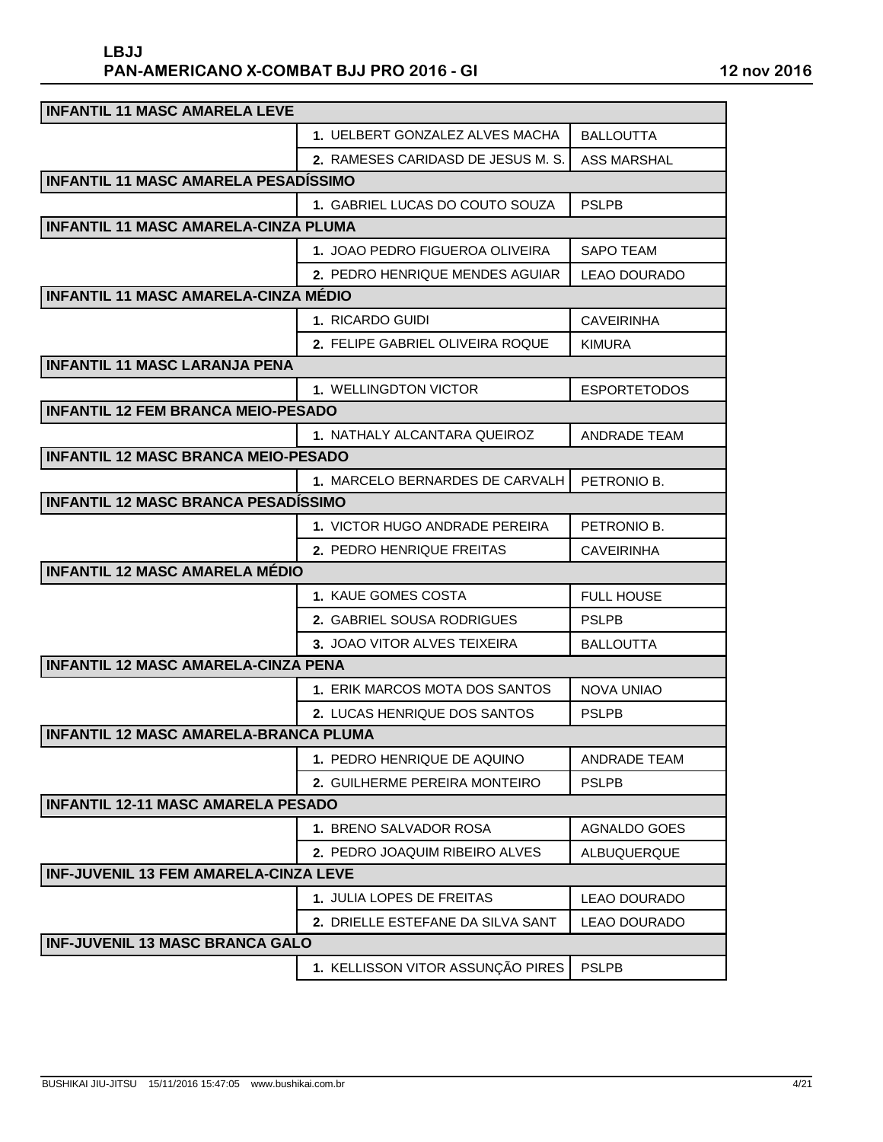| <b>INFANTIL 11 MASC AMARELA LEVE</b>         |                                     |                     |
|----------------------------------------------|-------------------------------------|---------------------|
|                                              | 1. UELBERT GONZALEZ ALVES MACHA     | <b>BALLOUTTA</b>    |
|                                              | 2. RAMESES CARIDASD DE JESUS M. S.  | ASS MARSHAL         |
| INFANTIL 11 MASC AMARELA PESADISSIMO         |                                     |                     |
|                                              | 1. GABRIEL LUCAS DO COUTO SOUZA     | <b>PSLPB</b>        |
| <b>INFANTIL 11 MASC AMARELA-CINZA PLUMA</b>  |                                     |                     |
|                                              | 1. JOAO PEDRO FIGUEROA OLIVEIRA     | SAPO TEAM           |
|                                              | 2. PEDRO HENRIQUE MENDES AGUIAR     | <b>LEAO DOURADO</b> |
| <b>INFANTIL 11 MASC AMARELA-CINZA MÉDIO</b>  |                                     |                     |
|                                              | 1. RICARDO GUIDI                    | <b>CAVEIRINHA</b>   |
|                                              | 2. FELIPE GABRIEL OLIVEIRA ROQUE    | <b>KIMURA</b>       |
| <b>INFANTIL 11 MASC LARANJA PENA</b>         |                                     |                     |
|                                              | <b>1. WELLINGDTON VICTOR</b>        | <b>ESPORTETODOS</b> |
| <b>INFANTIL 12 FEM BRANCA MEIO-PESADO</b>    |                                     |                     |
|                                              | 1. NATHALY ALCANTARA QUEIROZ        | <b>ANDRADE TEAM</b> |
| <b>INFANTIL 12 MASC BRANCA MEIO-PESADO</b>   |                                     |                     |
|                                              | 1. MARCELO BERNARDES DE CARVALH     | PETRONIO B.         |
| INFANTIL 12 MASC BRANCA PESADÍSSIMO          |                                     |                     |
|                                              | 1. VICTOR HUGO ANDRADE PEREIRA      | PETRONIO B.         |
|                                              | 2. PEDRO HENRIQUE FREITAS           | <b>CAVEIRINHA</b>   |
| <b>INFANTIL 12 MASC AMARELA MÉDIO</b>        |                                     |                     |
|                                              | 1. KAUE GOMES COSTA                 | <b>FULL HOUSE</b>   |
|                                              | <b>2. GABRIEL SOUSA RODRIGUES</b>   | <b>PSLPB</b>        |
|                                              | <b>3. JOAO VITOR ALVES TEIXEIRA</b> | <b>BALLOUTTA</b>    |
| <b>INFANTIL 12 MASC AMARELA-CINZA PENA</b>   |                                     |                     |
|                                              | 1. ERIK MARCOS MOTA DOS SANTOS      | NOVA UNIAO          |
|                                              | 2. LUCAS HENRIQUE DOS SANTOS        | <b>PSLPB</b>        |
| <b>INFANTIL 12 MASC AMARELA-BRANCA PLUMA</b> |                                     |                     |
|                                              | 1. PEDRO HENRIQUE DE AQUINO         | <b>ANDRADE TEAM</b> |
|                                              | 2. GUILHERME PEREIRA MONTEIRO       | <b>PSLPB</b>        |
| <b>INFANTIL 12-11 MASC AMARELA PESADO</b>    |                                     |                     |
|                                              | 1. BRENO SALVADOR ROSA              | <b>AGNALDO GOES</b> |
|                                              | 2. PEDRO JOAQUIM RIBEIRO ALVES      | <b>ALBUQUERQUE</b>  |
| <b>INF-JUVENIL 13 FEM AMARELA-CINZA LEVE</b> |                                     |                     |
|                                              | 1. JULIA LOPES DE FREITAS           | <b>LEAO DOURADO</b> |
|                                              | 2. DRIELLE ESTEFANE DA SILVA SANT   | <b>LEAO DOURADO</b> |
| <b>INF-JUVENIL 13 MASC BRANCA GALO</b>       |                                     |                     |
|                                              | 1. KELLISSON VITOR ASSUNÇÃO PIRES   | <b>PSLPB</b>        |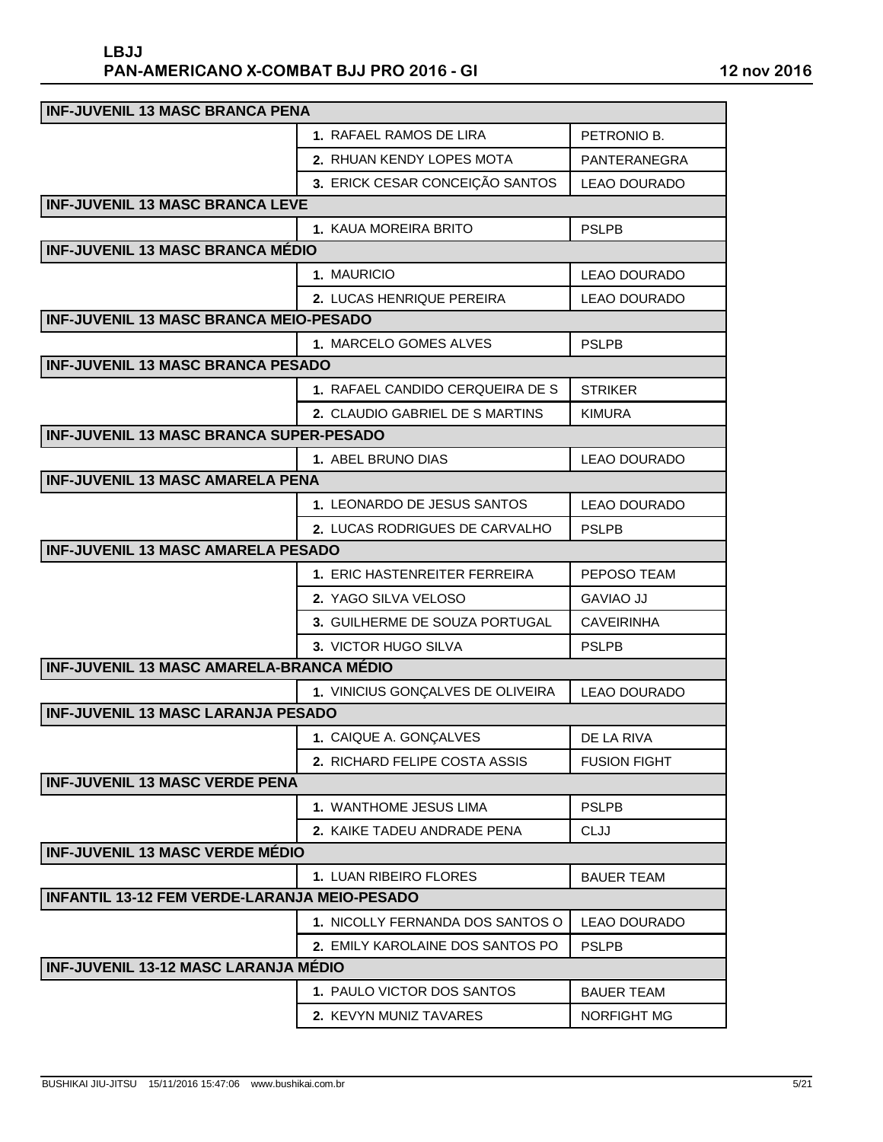| <b>INF-JUVENIL 13 MASC BRANCA PENA</b>              |                                   |                     |
|-----------------------------------------------------|-----------------------------------|---------------------|
|                                                     | 1. RAFAEL RAMOS DE LIRA           | PETRONIO B.         |
|                                                     | 2. RHUAN KENDY LOPES MOTA         | PANTERANEGRA        |
|                                                     | 3. ERICK CESAR CONCEIÇÃO SANTOS   | <b>LEAO DOURADO</b> |
| <b>INF-JUVENIL 13 MASC BRANCA LEVE</b>              |                                   |                     |
|                                                     | 1. KAUA MOREIRA BRITO             | <b>PSLPB</b>        |
| <b>INF-JUVENIL 13 MASC BRANCA MÉDIO</b>             |                                   |                     |
|                                                     | 1. MAURICIO                       | <b>LEAO DOURADO</b> |
|                                                     | 2. LUCAS HENRIQUE PEREIRA         | <b>LEAO DOURADO</b> |
| <b>INF-JUVENIL 13 MASC BRANCA MEIO-PESADO</b>       |                                   |                     |
|                                                     | 1. MARCELO GOMES ALVES            | <b>PSLPB</b>        |
| <b>INF-JUVENIL 13 MASC BRANCA PESADO</b>            |                                   |                     |
|                                                     | 1. RAFAEL CANDIDO CERQUEIRA DE S  | <b>STRIKER</b>      |
|                                                     | 2. CLAUDIO GABRIEL DE S MARTINS   | <b>KIMURA</b>       |
| <b>INF-JUVENIL 13 MASC BRANCA SUPER-PESADO</b>      |                                   |                     |
|                                                     | 1. ABEL BRUNO DIAS                | <b>LEAO DOURADO</b> |
| <b>INF-JUVENIL 13 MASC AMARELA PENA</b>             |                                   |                     |
|                                                     | 1. LEONARDO DE JESUS SANTOS       | <b>LEAO DOURADO</b> |
|                                                     | 2. LUCAS RODRIGUES DE CARVALHO    | <b>PSLPB</b>        |
| <b>INF-JUVENIL 13 MASC AMARELA PESADO</b>           |                                   |                     |
|                                                     | 1. ERIC HASTENREITER FERREIRA     | PEPOSO TEAM         |
|                                                     | 2. YAGO SILVA VELOSO              | <b>GAVIAO JJ</b>    |
|                                                     | 3. GUILHERME DE SOUZA PORTUGAL    | <b>CAVEIRINHA</b>   |
|                                                     | 3. VICTOR HUGO SILVA              | <b>PSLPB</b>        |
| INF-JUVENIL 13 MASC AMARELA-BRANCA MÉDIO            |                                   |                     |
|                                                     | 1. VINICIUS GONÇALVES DE OLIVEIRA | <b>LEAO DOURADO</b> |
| <b>INF-JUVENIL 13 MASC LARANJA PESADO</b>           |                                   |                     |
|                                                     | 1. CAIQUE A. GONÇALVES            | DE LA RIVA          |
|                                                     | 2. RICHARD FELIPE COSTA ASSIS     | <b>FUSION FIGHT</b> |
| <b>INF-JUVENIL 13 MASC VERDE PENA</b>               |                                   |                     |
|                                                     | <b>1. WANTHOME JESUS LIMA</b>     | <b>PSLPB</b>        |
|                                                     | 2. KAIKE TADEU ANDRADE PENA       | <b>CLJJ</b>         |
| <b>INF-JUVENIL 13 MASC VERDE MÉDIO</b>              |                                   |                     |
|                                                     | 1. LUAN RIBEIRO FLORES            | <b>BAUER TEAM</b>   |
| <b>INFANTIL 13-12 FEM VERDE-LARANJA MEIO-PESADO</b> |                                   |                     |
|                                                     | 1. NICOLLY FERNANDA DOS SANTOS O  | LEAO DOURADO        |
|                                                     | 2. EMILY KAROLAINE DOS SANTOS PO  | <b>PSLPB</b>        |
| <b>INF-JUVENIL 13-12 MASC LARANJA MÉDIO</b>         |                                   |                     |
|                                                     | 1. PAULO VICTOR DOS SANTOS        | <b>BAUER TEAM</b>   |
|                                                     | 2. KEVYN MUNIZ TAVARES            | <b>NORFIGHT MG</b>  |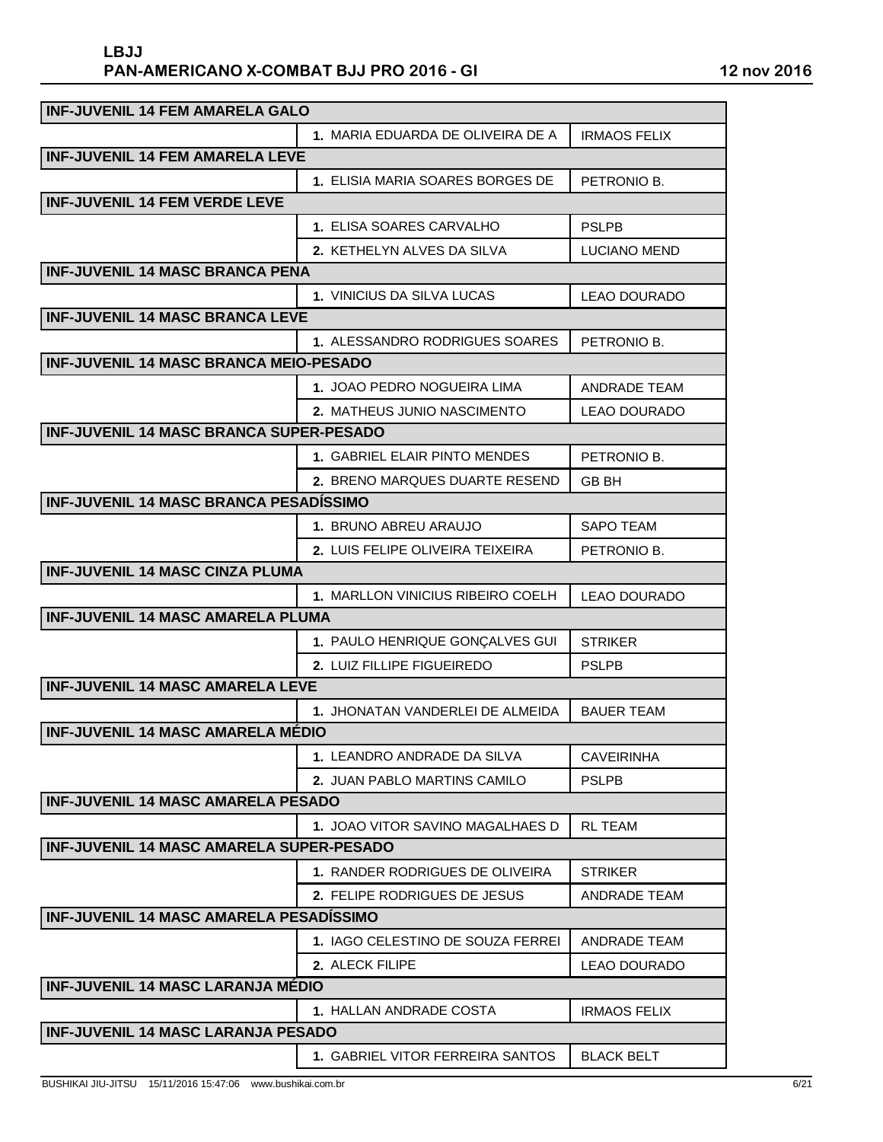| <b>INF-JUVENIL 14 FEM AMARELA GALO</b>          |                                   |                     |
|-------------------------------------------------|-----------------------------------|---------------------|
|                                                 | 1. MARIA EDUARDA DE OLIVEIRA DE A | <b>IRMAOS FELIX</b> |
| <b>INF-JUVENIL 14 FEM AMARELA LEVE</b>          |                                   |                     |
|                                                 | 1. ELISIA MARIA SOARES BORGES DE  | PETRONIO B.         |
| <b>INF-JUVENIL 14 FEM VERDE LEVE</b>            |                                   |                     |
|                                                 | <b>1. ELISA SOARES CARVALHO</b>   | <b>PSLPB</b>        |
|                                                 | 2. KETHELYN ALVES DA SILVA        | <b>LUCIANO MEND</b> |
| <b>INF-JUVENIL 14 MASC BRANCA PENA</b>          |                                   |                     |
|                                                 | 1. VINICIUS DA SILVA LUCAS        | LEAO DOURADO        |
| <b>INF-JUVENIL 14 MASC BRANCA LEVE</b>          |                                   |                     |
|                                                 | 1. ALESSANDRO RODRIGUES SOARES    | PETRONIO B.         |
| <b>INF-JUVENIL 14 MASC BRANCA MEIO-PESADO</b>   |                                   |                     |
|                                                 | 1. JOAO PEDRO NOGUEIRA LIMA       | <b>ANDRADE TEAM</b> |
|                                                 | 2. MATHEUS JUNIO NASCIMENTO       | <b>LEAO DOURADO</b> |
| <b>INF-JUVENIL 14 MASC BRANCA SUPER-PESADO</b>  |                                   |                     |
|                                                 | 1. GABRIEL ELAIR PINTO MENDES     | PETRONIO B.         |
|                                                 | 2. BRENO MARQUES DUARTE RESEND    | <b>GB BH</b>        |
| <b>INF-JUVENIL 14 MASC BRANCA PESADÍSSIMO</b>   |                                   |                     |
|                                                 | 1. BRUNO ABREU ARAUJO             | <b>SAPO TEAM</b>    |
|                                                 | 2. LUIS FELIPE OLIVEIRA TEIXEIRA  | PETRONIO B.         |
| <b>INF-JUVENIL 14 MASC CINZA PLUMA</b>          |                                   |                     |
|                                                 | 1. MARLLON VINICIUS RIBEIRO COELH | LEAO DOURADO        |
| <b>INF-JUVENIL 14 MASC AMARELA PLUMA</b>        |                                   |                     |
|                                                 | 1. PAULO HENRIQUE GONÇALVES GUI   | <b>STRIKER</b>      |
|                                                 | 2. LUIZ FILLIPE FIGUEIREDO        | <b>PSLPB</b>        |
| <b>INF-JUVENIL 14 MASC AMARELA LEVE</b>         |                                   |                     |
|                                                 | 1. JHONATAN VANDERLEI DE ALMEIDA  | <b>BAUER TEAM</b>   |
| <b>INF-JUVENIL 14 MASC AMARELA MÉDIO</b>        |                                   |                     |
|                                                 | 1. LEANDRO ANDRADE DA SILVA       | <b>CAVEIRINHA</b>   |
|                                                 | 2. JUAN PABLO MARTINS CAMILO      | <b>PSLPB</b>        |
| <b>INF-JUVENIL 14 MASC AMARELA PESADO</b>       |                                   |                     |
|                                                 | 1. JOAO VITOR SAVINO MAGALHAES D  | RL TEAM             |
| <b>INF-JUVENIL 14 MASC AMARELA SUPER-PESADO</b> |                                   |                     |
|                                                 | 1. RANDER RODRIGUES DE OLIVEIRA   | <b>STRIKER</b>      |
|                                                 | 2. FELIPE RODRIGUES DE JESUS      | ANDRADE TEAM        |
| <b>INF-JUVENIL 14 MASC AMARELA PESADÍSSIMO</b>  |                                   |                     |
|                                                 | 1. IAGO CELESTINO DE SOUZA FERREI | ANDRADE TEAM        |
|                                                 | 2. ALECK FILIPE                   | LEAO DOURADO        |
| <b>INF-JUVENIL 14 MASC LARANJA MÉDIO</b>        |                                   |                     |
|                                                 | 1. HALLAN ANDRADE COSTA           | <b>IRMAOS FELIX</b> |
| <b>INF-JUVENIL 14 MASC LARANJA PESADO</b>       |                                   |                     |
|                                                 | 1. GABRIEL VITOR FERREIRA SANTOS  | <b>BLACK BELT</b>   |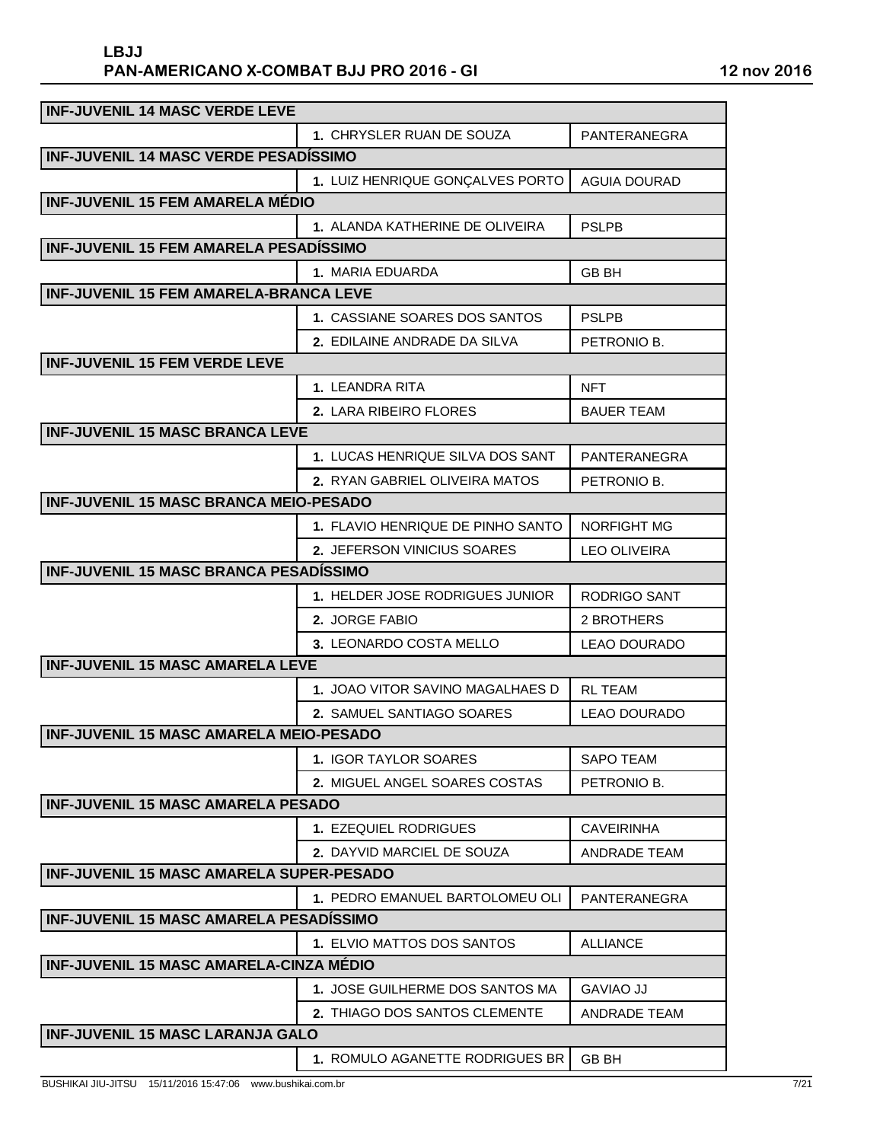| <b>INF-JUVENIL 14 MASC VERDE LEVE</b>           |                                   |                     |
|-------------------------------------------------|-----------------------------------|---------------------|
|                                                 | 1. CHRYSLER RUAN DE SOUZA         | PANTERANEGRA        |
| <b>INF-JUVENIL 14 MASC VERDE PESADÍSSIMO</b>    |                                   |                     |
|                                                 | 1. LUIZ HENRIQUE GONÇALVES PORTO  | <b>AGUIA DOURAD</b> |
| <b>INF-JUVENIL 15 FEM AMARELA MÉDIO</b>         |                                   |                     |
|                                                 | 1. ALANDA KATHERINE DE OLIVEIRA   | <b>PSLPB</b>        |
| <b>INF-JUVENIL 15 FEM AMARELA PESADÍSSIMO</b>   |                                   |                     |
|                                                 | 1. MARIA EDUARDA                  | <b>GB BH</b>        |
| <b>INF-JUVENIL 15 FEM AMARELA-BRANCA LEVE</b>   |                                   |                     |
|                                                 | 1. CASSIANE SOARES DOS SANTOS     | <b>PSLPB</b>        |
|                                                 | 2. EDILAINE ANDRADE DA SILVA      | PETRONIO B.         |
| <b>INF-JUVENIL 15 FEM VERDE LEVE</b>            |                                   |                     |
|                                                 | 1. LEANDRA RITA                   | <b>NFT</b>          |
|                                                 | 2. LARA RIBEIRO FLORES            | <b>BAUER TEAM</b>   |
| <b>INF-JUVENIL 15 MASC BRANCA LEVE</b>          |                                   |                     |
|                                                 | 1. LUCAS HENRIQUE SILVA DOS SANT  | PANTERANEGRA        |
|                                                 | 2. RYAN GABRIEL OLIVEIRA MATOS    | PETRONIO B.         |
| <b>INF-JUVENIL 15 MASC BRANCA MEIO-PESADO</b>   |                                   |                     |
|                                                 | 1. FLAVIO HENRIQUE DE PINHO SANTO | <b>NORFIGHT MG</b>  |
|                                                 | 2. JEFERSON VINICIUS SOARES       | <b>LEO OLIVEIRA</b> |
| <b>INF-JUVENIL 15 MASC BRANCA PESADÍSSIMO</b>   |                                   |                     |
|                                                 | 1. HELDER JOSE RODRIGUES JUNIOR   | RODRIGO SANT        |
|                                                 | 2. JORGE FABIO                    | 2 BROTHERS          |
|                                                 | 3. LEONARDO COSTA MELLO           | <b>LEAO DOURADO</b> |
| <b>INF-JUVENIL 15 MASC AMARELA LEVE</b>         |                                   |                     |
|                                                 | 1. JOAO VITOR SAVINO MAGALHAES D  | <b>RL TEAM</b>      |
|                                                 | 2. SAMUEL SANTIAGO SOARES         | <b>LEAO DOURADO</b> |
| <b>INF-JUVENIL 15 MASC AMARELA MEIO-PESADO</b>  |                                   |                     |
|                                                 | <b>1. IGOR TAYLOR SOARES</b>      | <b>SAPO TEAM</b>    |
|                                                 | 2. MIGUEL ANGEL SOARES COSTAS     | PETRONIO B.         |
| <b>INF-JUVENIL 15 MASC AMARELA PESADO</b>       |                                   |                     |
|                                                 | 1. EZEQUIEL RODRIGUES             | <b>CAVEIRINHA</b>   |
|                                                 | <b>2. DAYVID MARCIEL DE SOUZA</b> | <b>ANDRADE TEAM</b> |
| <b>INF-JUVENIL 15 MASC AMARELA SUPER-PESADO</b> |                                   |                     |
|                                                 | 1. PEDRO EMANUEL BARTOLOMEU OLI   | PANTERANEGRA        |
| <b>INF-JUVENIL 15 MASC AMARELA PESADISSIMO</b>  |                                   |                     |
|                                                 | 1. ELVIO MATTOS DOS SANTOS        | <b>ALLIANCE</b>     |
| <b>INF-JUVENIL 15 MASC AMARELA-CINZA MÉDIO</b>  |                                   |                     |
|                                                 | 1. JOSE GUILHERME DOS SANTOS MA   | <b>GAVIAO JJ</b>    |
|                                                 | 2. THIAGO DOS SANTOS CLEMENTE     | ANDRADE TEAM        |
| <b>INF-JUVENIL 15 MASC LARANJA GALO</b>         |                                   |                     |
|                                                 | 1. ROMULO AGANETTE RODRIGUES BR   | <b>GB BH</b>        |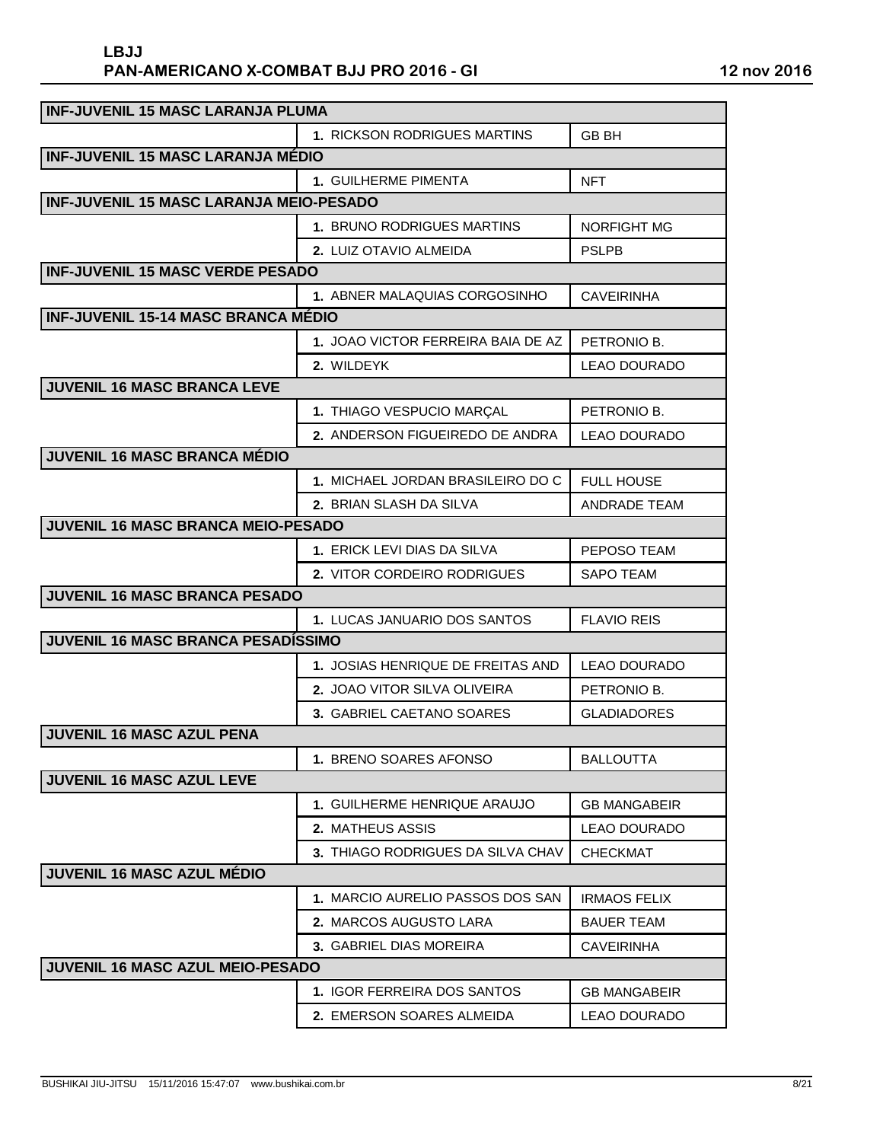| <b>INF-JUVENIL 15 MASC LARANJA PLUMA</b>       |                                     |                     |
|------------------------------------------------|-------------------------------------|---------------------|
|                                                | <b>1. RICKSON RODRIGUES MARTINS</b> | <b>GB BH</b>        |
| <b>INF-JUVENIL 15 MASC LARANJA MÉDIO</b>       |                                     |                     |
|                                                | <b>1. GUILHERME PIMENTA</b>         | <b>NFT</b>          |
| <b>INF-JUVENIL 15 MASC LARANJA MEIO-PESADO</b> |                                     |                     |
|                                                | <b>1. BRUNO RODRIGUES MARTINS</b>   | <b>NORFIGHT MG</b>  |
|                                                | 2. LUIZ OTAVIO ALMEIDA              | <b>PSLPB</b>        |
| <b>INF-JUVENIL 15 MASC VERDE PESADO</b>        |                                     |                     |
|                                                | 1. ABNER MALAQUIAS CORGOSINHO       | <b>CAVEIRINHA</b>   |
| <b>INF-JUVENIL 15-14 MASC BRANCA MÉDIO</b>     |                                     |                     |
|                                                | 1. JOAO VICTOR FERREIRA BAIA DE AZ  | PETRONIO B.         |
|                                                | 2. WILDEYK                          | <b>LEAO DOURADO</b> |
| <b>JUVENIL 16 MASC BRANCA LEVE</b>             |                                     |                     |
|                                                | 1. THIAGO VESPUCIO MARÇAL           | PETRONIO B.         |
|                                                | 2. ANDERSON FIGUEIREDO DE ANDRA     | <b>LEAO DOURADO</b> |
| <b>JUVENIL 16 MASC BRANCA MÉDIO</b>            |                                     |                     |
|                                                | 1. MICHAEL JORDAN BRASILEIRO DO C   | <b>FULL HOUSE</b>   |
|                                                | 2. BRIAN SLASH DA SILVA             | <b>ANDRADE TEAM</b> |
| <b>JUVENIL 16 MASC BRANCA MEIO-PESADO</b>      |                                     |                     |
|                                                | 1. ERICK LEVI DIAS DA SILVA         | PEPOSO TEAM         |
|                                                | 2. VITOR CORDEIRO RODRIGUES         | <b>SAPO TEAM</b>    |
| <b>JUVENIL 16 MASC BRANCA PESADO</b>           |                                     |                     |
|                                                | 1. LUCAS JANUARIO DOS SANTOS        | <b>FLAVIO REIS</b>  |
| <b>JUVENIL 16 MASC BRANCA PESADÍSSIMO</b>      |                                     |                     |
|                                                | 1. JOSIAS HENRIQUE DE FREITAS AND   | <b>LEAO DOURADO</b> |
|                                                | 2. JOAO VITOR SILVA OLIVEIRA        | PETRONIO B.         |
|                                                | 3. GABRIEL CAETANO SOARES           | <b>GLADIADORES</b>  |
| <b>JUVENIL 16 MASC AZUL PENA</b>               |                                     |                     |
|                                                | 1. BRENO SOARES AFONSO              | <b>BALLOUTTA</b>    |
| <b>JUVENIL 16 MASC AZUL LEVE</b>               |                                     |                     |
|                                                | 1. GUILHERME HENRIQUE ARAUJO        | <b>GB MANGABEIR</b> |
|                                                | <b>2. MATHEUS ASSIS</b>             | LEAO DOURADO        |
|                                                | 3. THIAGO RODRIGUES DA SILVA CHAV   | <b>CHECKMAT</b>     |
| <b>JUVENIL 16 MASC AZUL MÉDIO</b>              |                                     |                     |
|                                                | 1. MARCIO AURELIO PASSOS DOS SAN    | <b>IRMAOS FELIX</b> |
|                                                | 2. MARCOS AUGUSTO LARA              | <b>BAUER TEAM</b>   |
|                                                | 3. GABRIEL DIAS MOREIRA             | <b>CAVEIRINHA</b>   |
| JUVENIL 16 MASC AZUL MEIO-PESADO               |                                     |                     |
|                                                | 1. IGOR FERREIRA DOS SANTOS         | <b>GB MANGABEIR</b> |
|                                                | 2. EMERSON SOARES ALMEIDA           | <b>LEAO DOURADO</b> |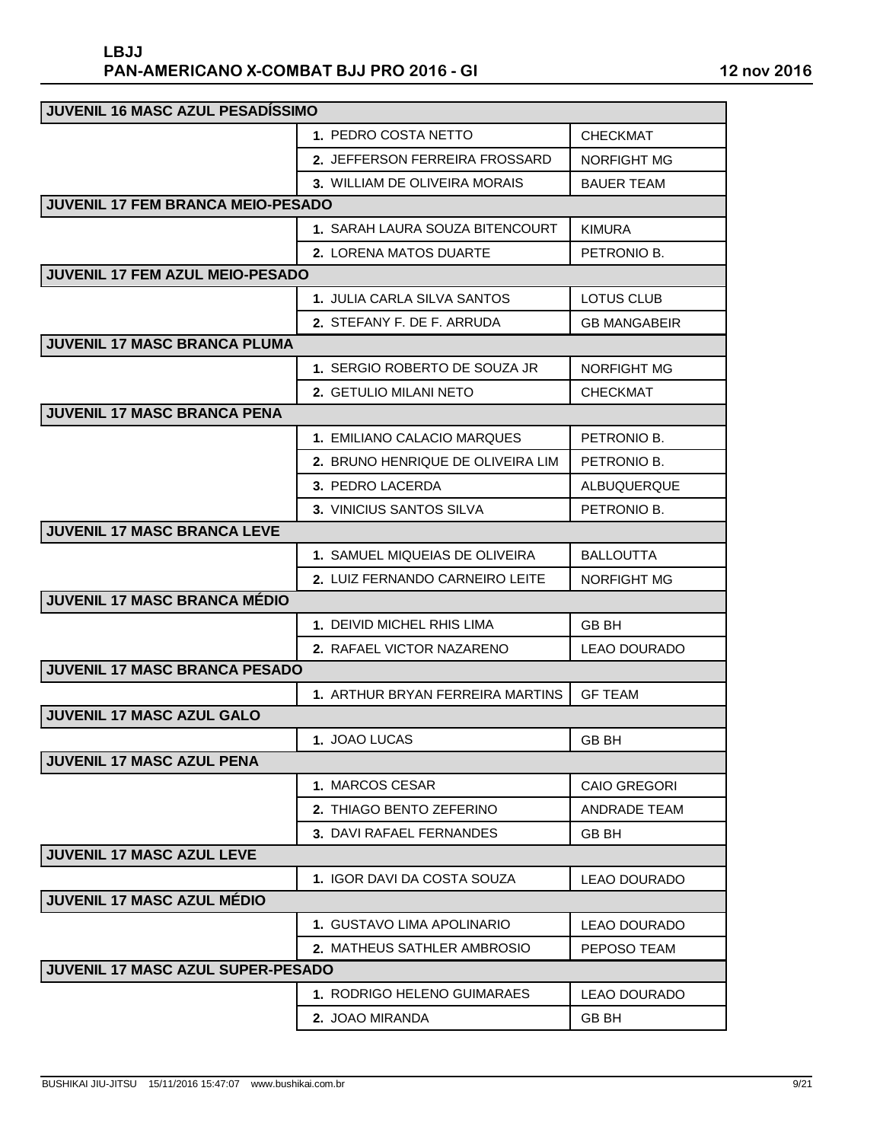| <b>JUVENIL 16 MASC AZUL PESADÍSSIMO</b> |                                   |                     |
|-----------------------------------------|-----------------------------------|---------------------|
|                                         | 1. PEDRO COSTA NETTO              | <b>CHECKMAT</b>     |
|                                         | 2. JEFFERSON FERREIRA FROSSARD    | NORFIGHT MG         |
|                                         | 3. WILLIAM DE OLIVEIRA MORAIS     | <b>BAUER TEAM</b>   |
| JUVENIL 17 FEM BRANCA MEIO-PESADO       |                                   |                     |
|                                         | 1. SARAH LAURA SOUZA BITENCOURT   | <b>KIMURA</b>       |
|                                         | 2. LORENA MATOS DUARTE            | PETRONIO B.         |
| <b>JUVENIL 17 FEM AZUL MEIO-PESADO</b>  |                                   |                     |
|                                         | 1. JULIA CARLA SILVA SANTOS       | <b>LOTUS CLUB</b>   |
|                                         | 2. STEFANY F. DE F. ARRUDA        | <b>GB MANGABEIR</b> |
| JUVENIL 17 MASC BRANCA PLUMA            |                                   |                     |
|                                         | 1. SERGIO ROBERTO DE SOUZA JR     | <b>NORFIGHT MG</b>  |
|                                         | 2. GETULIO MILANI NETO            | CHECKMAT            |
| <b>JUVENIL 17 MASC BRANCA PENA</b>      |                                   |                     |
|                                         | 1. EMILIANO CALACIO MARQUES       | PETRONIO B.         |
|                                         | 2. BRUNO HENRIQUE DE OLIVEIRA LIM | PETRONIO B.         |
|                                         | 3. PEDRO LACERDA                  | ALBUQUERQUE         |
|                                         | 3. VINICIUS SANTOS SILVA          | PETRONIO B.         |
| <b>JUVENIL 17 MASC BRANCA LEVE</b>      |                                   |                     |
|                                         | 1. SAMUEL MIQUEIAS DE OLIVEIRA    | <b>BALLOUTTA</b>    |
|                                         | 2. LUIZ FERNANDO CARNEIRO LEITE   | NORFIGHT MG         |
| <b>JUVENIL 17 MASC BRANCA MÉDIO</b>     |                                   |                     |
|                                         | 1. DEIVID MICHEL RHIS LIMA        | GB BH               |
|                                         | <b>2. RAFAEL VICTOR NAZARENO</b>  | <b>LEAO DOURADO</b> |
| <b>JUVENIL 17 MASC BRANCA PESADO</b>    |                                   |                     |
|                                         | 1. ARTHUR BRYAN FERREIRA MARTINS  | <b>GF TEAM</b>      |
| <b>JUVENIL 17 MASC AZUL GALO</b>        |                                   |                     |
|                                         | 1. JOAO LUCAS                     | <b>GB BH</b>        |
| <b>JUVENIL 17 MASC AZUL PENA</b>        |                                   |                     |
|                                         | 1. MARCOS CESAR                   | <b>CAIO GREGORI</b> |
|                                         | 2. THIAGO BENTO ZEFERINO          | <b>ANDRADE TEAM</b> |
|                                         | <b>3. DAVI RAFAEL FERNANDES</b>   | GB BH               |
| <b>JUVENIL 17 MASC AZUL LEVE</b>        |                                   |                     |
|                                         | 1. IGOR DAVI DA COSTA SOUZA       | <b>LEAO DOURADO</b> |
| <b>JUVENIL 17 MASC AZUL MÉDIO</b>       |                                   |                     |
|                                         | 1. GUSTAVO LIMA APOLINARIO        | <b>LEAO DOURADO</b> |
|                                         | 2. MATHEUS SATHLER AMBROSIO       | PEPOSO TEAM         |
| JUVENIL 17 MASC AZUL SUPER-PESADO       |                                   |                     |
|                                         | 1. RODRIGO HELENO GUIMARAES       | <b>LEAO DOURADO</b> |
|                                         | 2. JOAO MIRANDA                   | GB BH               |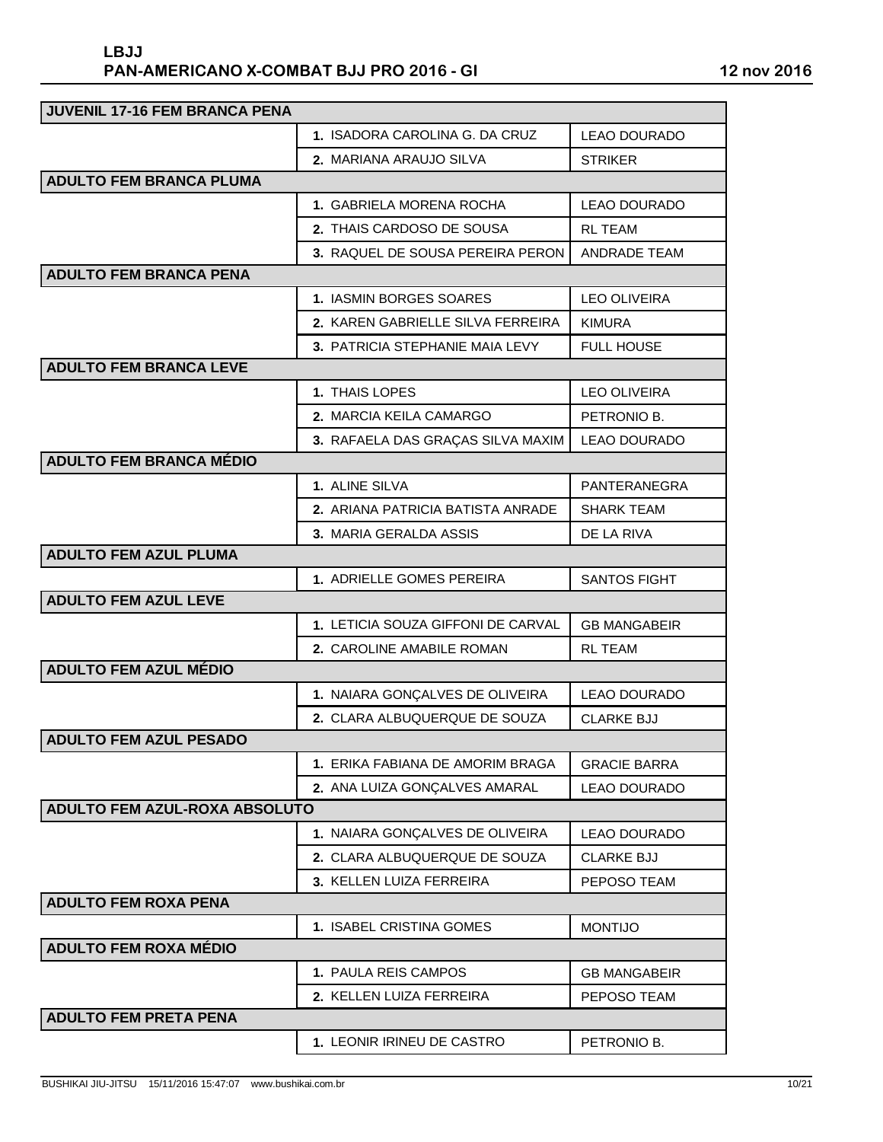| <b>JUVENIL 17-16 FEM BRANCA PENA</b> |                                    |                     |
|--------------------------------------|------------------------------------|---------------------|
|                                      | 1. ISADORA CAROLINA G. DA CRUZ     | <b>LEAO DOURADO</b> |
|                                      | <b>2. MARIANA ARAUJO SILVA</b>     | <b>STRIKER</b>      |
| <b>ADULTO FEM BRANCA PLUMA</b>       |                                    |                     |
|                                      | 1. GABRIELA MORENA ROCHA           | <b>LEAO DOURADO</b> |
|                                      | 2. THAIS CARDOSO DE SOUSA          | <b>RL TEAM</b>      |
|                                      | 3. RAQUEL DE SOUSA PEREIRA PERON   | <b>ANDRADE TEAM</b> |
| <b>ADULTO FEM BRANCA PENA</b>        |                                    |                     |
|                                      | 1. IASMIN BORGES SOARES            | <b>LEO OLIVEIRA</b> |
|                                      | 2. KAREN GABRIELLE SILVA FERREIRA  | <b>KIMURA</b>       |
|                                      | 3. PATRICIA STEPHANIE MAIA LEVY    | <b>FULL HOUSE</b>   |
| <b>ADULTO FEM BRANCA LEVE</b>        |                                    |                     |
|                                      | 1. THAIS LOPES                     | <b>LEO OLIVEIRA</b> |
|                                      | 2. MARCIA KEILA CAMARGO            | PETRONIO B.         |
|                                      | 3. RAFAELA DAS GRAÇAS SILVA MAXIM  | <b>LEAO DOURADO</b> |
| <b>ADULTO FEM BRANCA MÉDIO</b>       |                                    |                     |
|                                      | 1. ALINE SILVA                     | PANTERANEGRA        |
|                                      | 2. ARIANA PATRICIA BATISTA ANRADE  | <b>SHARK TEAM</b>   |
|                                      | 3. MARIA GERALDA ASSIS             | DE LA RIVA          |
| <b>ADULTO FEM AZUL PLUMA</b>         |                                    |                     |
|                                      | 1. ADRIELLE GOMES PEREIRA          | <b>SANTOS FIGHT</b> |
| <b>ADULTO FEM AZUL LEVE</b>          |                                    |                     |
|                                      | 1. LETICIA SOUZA GIFFONI DE CARVAL | <b>GB MANGABEIR</b> |
|                                      | 2. CAROLINE AMABILE ROMAN          | RL TEAM             |
| <b>ADULTO FEM AZUL MÉDIO</b>         |                                    |                     |
|                                      | 1. NAIARA GONÇALVES DE OLIVEIRA    | <b>LEAO DOURADO</b> |
|                                      | 2. CLARA ALBUQUERQUE DE SOUZA      | <b>CLARKE BJJ</b>   |
| <b>ADULTO FEM AZUL PESADO</b>        |                                    |                     |
|                                      | 1. ERIKA FABIANA DE AMORIM BRAGA   | <b>GRACIE BARRA</b> |
|                                      | 2. ANA LUIZA GONÇALVES AMARAL      | <b>LEAO DOURADO</b> |
| <b>ADULTO FEM AZUL-ROXA ABSOLUTO</b> |                                    |                     |
|                                      | 1. NAIARA GONÇALVES DE OLIVEIRA    | <b>LEAO DOURADO</b> |
|                                      | 2. CLARA ALBUQUERQUE DE SOUZA      | <b>CLARKE BJJ</b>   |
|                                      | 3. KELLEN LUIZA FERREIRA           | PEPOSO TEAM         |
| <b>ADULTO FEM ROXA PENA</b>          |                                    |                     |
|                                      | 1. ISABEL CRISTINA GOMES           | <b>MONTIJO</b>      |
| <b>ADULTO FEM ROXA MÉDIO</b>         |                                    |                     |
|                                      | 1. PAULA REIS CAMPOS               | <b>GB MANGABEIR</b> |
|                                      | 2. KELLEN LUIZA FERREIRA           | PEPOSO TEAM         |
| <b>ADULTO FEM PRETA PENA</b>         |                                    |                     |
|                                      | 1. LEONIR IRINEU DE CASTRO         | PETRONIO B.         |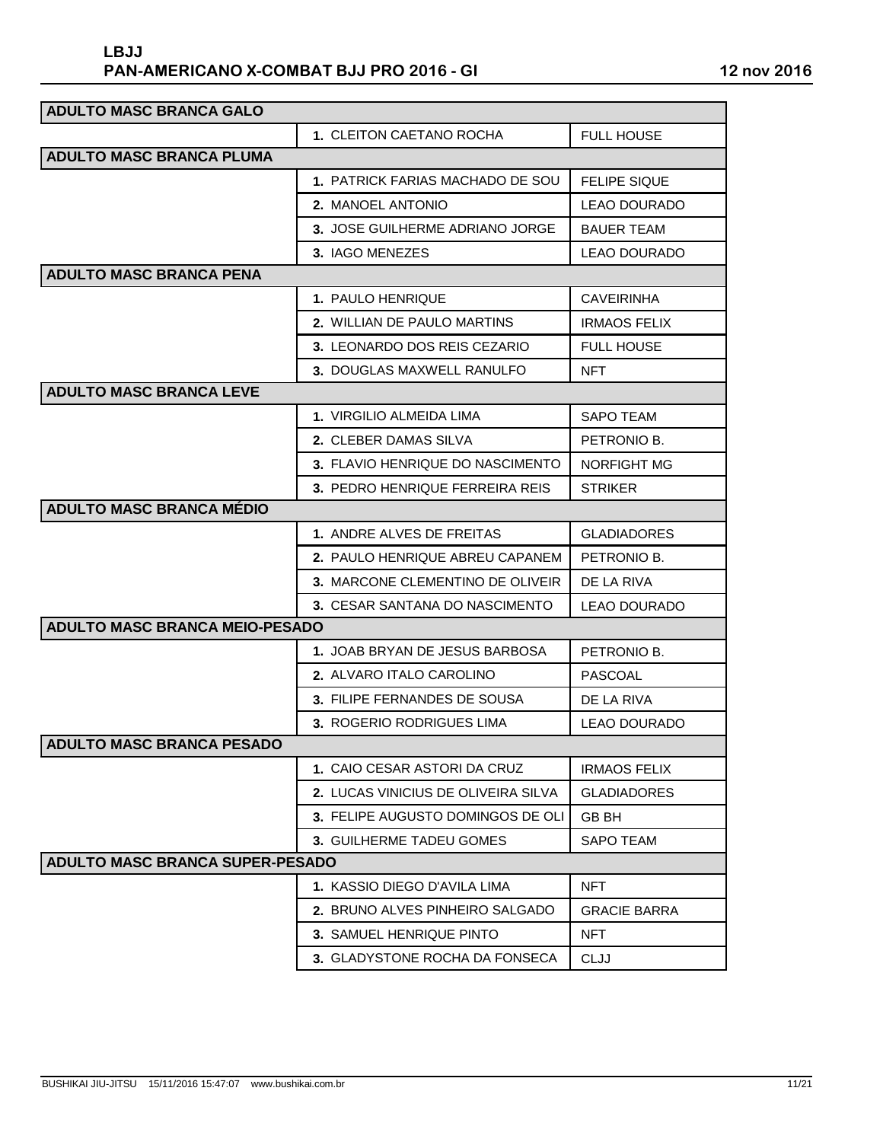| <b>ADULTO MASC BRANCA GALO</b>         |                                     |                     |
|----------------------------------------|-------------------------------------|---------------------|
|                                        | 1. CLEITON CAETANO ROCHA            | <b>FULL HOUSE</b>   |
| <b>ADULTO MASC BRANCA PLUMA</b>        |                                     |                     |
|                                        | 1. PATRICK FARIAS MACHADO DE SOU    | <b>FELIPE SIQUE</b> |
|                                        | 2. MANOEL ANTONIO                   | LEAO DOURADO        |
|                                        | 3. JOSE GUILHERME ADRIANO JORGE     | <b>BAUER TEAM</b>   |
|                                        | 3. IAGO MENEZES                     | <b>LEAO DOURADO</b> |
| <b>ADULTO MASC BRANCA PENA</b>         |                                     |                     |
|                                        | 1. PAULO HENRIQUE                   | <b>CAVEIRINHA</b>   |
|                                        | 2. WILLIAN DE PAULO MARTINS         | <b>IRMAOS FELIX</b> |
|                                        | 3. LEONARDO DOS REIS CEZARIO        | <b>FULL HOUSE</b>   |
|                                        | 3. DOUGLAS MAXWELL RANULFO          | <b>NFT</b>          |
| <b>ADULTO MASC BRANCA LEVE</b>         |                                     |                     |
|                                        | 1. VIRGILIO ALMEIDA LIMA            | SAPO TEAM           |
|                                        | 2. CLEBER DAMAS SILVA               | PETRONIO B.         |
|                                        | 3. FLAVIO HENRIQUE DO NASCIMENTO    | NORFIGHT MG         |
|                                        | 3. PEDRO HENRIQUE FERREIRA REIS     | <b>STRIKER</b>      |
| <b>ADULTO MASC BRANCA MÉDIO</b>        |                                     |                     |
|                                        | 1. ANDRE ALVES DE FREITAS           | <b>GLADIADORES</b>  |
|                                        | 2. PAULO HENRIQUE ABREU CAPANEM     | PETRONIO B.         |
|                                        | 3. MARCONE CLEMENTINO DE OLIVEIR    | DE LA RIVA          |
|                                        | 3. CESAR SANTANA DO NASCIMENTO      | LEAO DOURADO        |
| <b>ADULTO MASC BRANCA MEIO-PESADO</b>  |                                     |                     |
|                                        | 1. JOAB BRYAN DE JESUS BARBOSA      | PETRONIO B.         |
|                                        | <b>2. ALVARO ITALO CAROLINO</b>     | PASCOAL             |
|                                        | 3. FILIPE FERNANDES DE SOUSA        | DE LA RIVA          |
|                                        | 3. ROGERIO RODRIGUES LIMA           | LEAO DOURADO        |
| <b>ADULTO MASC BRANCA PESADO</b>       |                                     |                     |
|                                        | 1. CAIO CESAR ASTORI DA CRUZ        | <b>IRMAOS FELIX</b> |
|                                        | 2. LUCAS VINICIUS DE OLIVEIRA SILVA | <b>GLADIADORES</b>  |
|                                        | 3. FELIPE AUGUSTO DOMINGOS DE OLI   | <b>GB BH</b>        |
|                                        | 3. GUILHERME TADEU GOMES            | <b>SAPO TEAM</b>    |
| <b>ADULTO MASC BRANCA SUPER-PESADO</b> |                                     |                     |
|                                        | <b>1. KASSIO DIEGO D'AVILA LIMA</b> | <b>NFT</b>          |
|                                        | 2. BRUNO ALVES PINHEIRO SALGADO     | <b>GRACIE BARRA</b> |
|                                        | 3. SAMUEL HENRIQUE PINTO            | <b>NFT</b>          |
|                                        | 3. GLADYSTONE ROCHA DA FONSECA      | CLJJ                |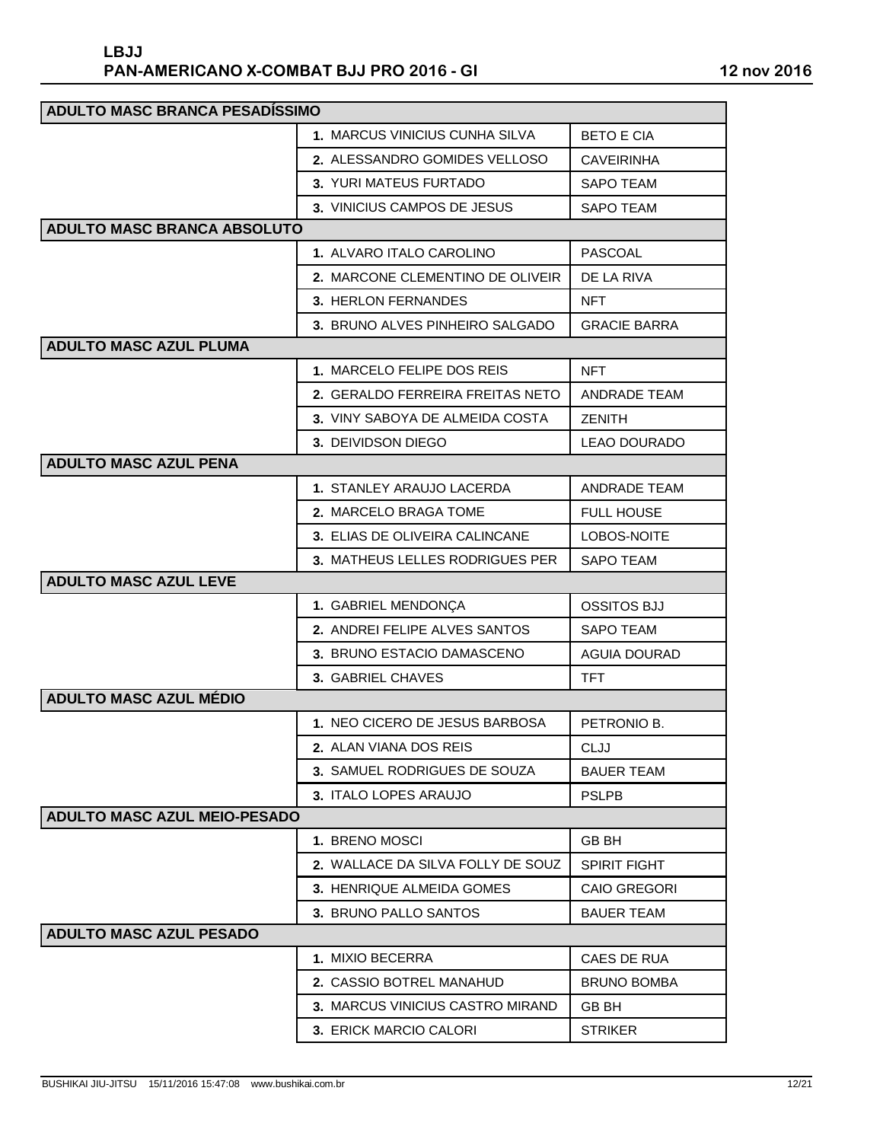| <b>ADULTO MASC BRANCA PESADÍSSIMO</b> |                                       |                     |
|---------------------------------------|---------------------------------------|---------------------|
|                                       | <b>1. MARCUS VINICIUS CUNHA SILVA</b> | <b>BETO E CIA</b>   |
|                                       | 2. ALESSANDRO GOMIDES VELLOSO         | <b>CAVEIRINHA</b>   |
|                                       | 3. YURI MATEUS FURTADO                | <b>SAPO TEAM</b>    |
|                                       | 3. VINICIUS CAMPOS DE JESUS           | <b>SAPO TEAM</b>    |
| <b>ADULTO MASC BRANCA ABSOLUTO</b>    |                                       |                     |
|                                       | 1. ALVARO ITALO CAROLINO              | <b>PASCOAL</b>      |
|                                       | 2. MARCONE CLEMENTINO DE OLIVEIR      | DE LA RIVA          |
|                                       | 3. HERLON FERNANDES                   | <b>NFT</b>          |
|                                       | 3. BRUNO ALVES PINHEIRO SALGADO       | <b>GRACIE BARRA</b> |
| <b>ADULTO MASC AZUL PLUMA</b>         |                                       |                     |
|                                       | 1. MARCELO FELIPE DOS REIS            | <b>NFT</b>          |
|                                       | 2. GERALDO FERREIRA FREITAS NETO      | <b>ANDRADE TEAM</b> |
|                                       | 3. VINY SABOYA DE ALMEIDA COSTA       | <b>ZENITH</b>       |
|                                       | 3. DEIVIDSON DIEGO                    | <b>LEAO DOURADO</b> |
| <b>ADULTO MASC AZUL PENA</b>          |                                       |                     |
|                                       | 1. STANLEY ARAUJO LACERDA             | <b>ANDRADE TEAM</b> |
|                                       | 2. MARCELO BRAGA TOME                 | <b>FULL HOUSE</b>   |
|                                       | 3. ELIAS DE OLIVEIRA CALINCANE        | LOBOS-NOITE         |
|                                       | 3. MATHEUS LELLES RODRIGUES PER       | <b>SAPO TEAM</b>    |
| <b>ADULTO MASC AZUL LEVE</b>          |                                       |                     |
|                                       | 1. GABRIEL MENDONÇA                   | <b>OSSITOS BJJ</b>  |
|                                       | 2. ANDREI FELIPE ALVES SANTOS         | <b>SAPO TEAM</b>    |
|                                       | 3. BRUNO ESTACIO DAMASCENO            | <b>AGUIA DOURAD</b> |
|                                       | 3. GABRIEL CHAVES                     | <b>TFT</b>          |
| <b>ADULTO MASC AZUL MÉDIO</b>         |                                       |                     |
|                                       | 1. NEO CICERO DE JESUS BARBOSA        | PETRONIO B.         |
|                                       | 2. ALAN VIANA DOS REIS                | CLJJ                |
|                                       | 3. SAMUEL RODRIGUES DE SOUZA          | <b>BAUER TEAM</b>   |
|                                       | 3. ITALO LOPES ARAUJO                 | <b>PSLPB</b>        |
| <b>ADULTO MASC AZUL MEIO-PESADO</b>   |                                       |                     |
|                                       | 1. BRENO MOSCI                        | <b>GB BH</b>        |
|                                       | 2. WALLACE DA SILVA FOLLY DE SOUZ     | <b>SPIRIT FIGHT</b> |
|                                       | 3. HENRIQUE ALMEIDA GOMES             | <b>CAIO GREGORI</b> |
|                                       | 3. BRUNO PALLO SANTOS                 | <b>BAUER TEAM</b>   |
| <b>ADULTO MASC AZUL PESADO</b>        |                                       |                     |
|                                       | 1. MIXIO BECERRA                      | CAES DE RUA         |
|                                       | 2. CASSIO BOTREL MANAHUD              | <b>BRUNO BOMBA</b>  |
|                                       | 3. MARCUS VINICIUS CASTRO MIRAND      | <b>GB BH</b>        |
|                                       | 3. ERICK MARCIO CALORI                | <b>STRIKER</b>      |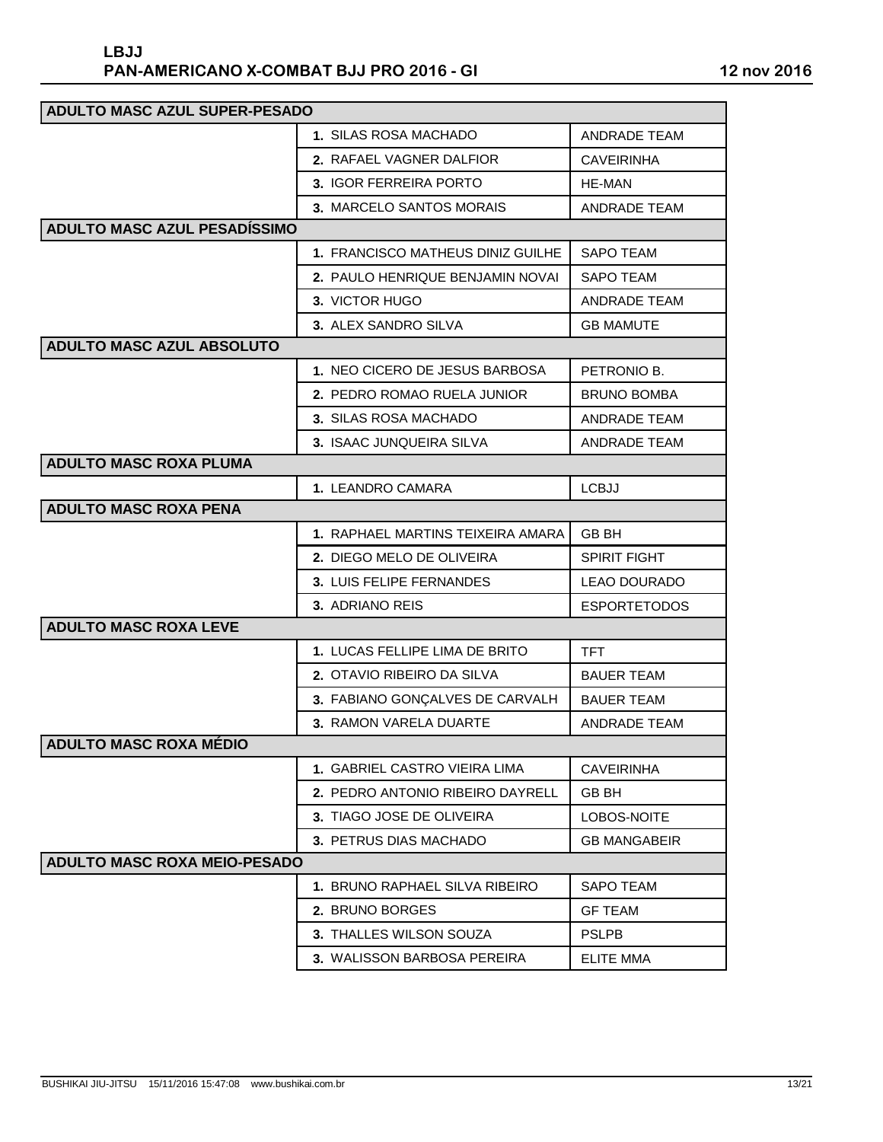| <b>ADULTO MASC AZUL SUPER-PESADO</b> |                                   |                     |  |
|--------------------------------------|-----------------------------------|---------------------|--|
|                                      | 1. SILAS ROSA MACHADO             | <b>ANDRADE TEAM</b> |  |
|                                      | 2. RAFAEL VAGNER DALFIOR          | <b>CAVEIRINHA</b>   |  |
|                                      | 3. IGOR FERREIRA PORTO            | <b>HE-MAN</b>       |  |
|                                      | 3. MARCELO SANTOS MORAIS          | <b>ANDRADE TEAM</b> |  |
| <b>ADULTO MASC AZUL PESADÍSSIMO</b>  |                                   |                     |  |
|                                      | 1. FRANCISCO MATHEUS DINIZ GUILHE | <b>SAPO TEAM</b>    |  |
|                                      | 2. PAULO HENRIQUE BENJAMIN NOVAI  | <b>SAPO TEAM</b>    |  |
|                                      | 3. VICTOR HUGO                    | <b>ANDRADE TEAM</b> |  |
|                                      | 3. ALEX SANDRO SILVA              | <b>GB MAMUTE</b>    |  |
| <b>ADULTO MASC AZUL ABSOLUTO</b>     |                                   |                     |  |
|                                      | 1. NEO CICERO DE JESUS BARBOSA    | PETRONIO B.         |  |
|                                      | 2. PEDRO ROMAO RUELA JUNIOR       | <b>BRUNO BOMBA</b>  |  |
|                                      | 3. SILAS ROSA MACHADO             | <b>ANDRADE TEAM</b> |  |
|                                      | 3. ISAAC JUNQUEIRA SILVA          | <b>ANDRADE TEAM</b> |  |
| <b>ADULTO MASC ROXA PLUMA</b>        |                                   |                     |  |
|                                      | 1. LEANDRO CAMARA                 | <b>LCBJJ</b>        |  |
| <b>ADULTO MASC ROXA PENA</b>         |                                   |                     |  |
|                                      | 1. RAPHAEL MARTINS TEIXEIRA AMARA | <b>GB BH</b>        |  |
|                                      | 2. DIEGO MELO DE OLIVEIRA         | <b>SPIRIT FIGHT</b> |  |
|                                      | 3. LUIS FELIPE FERNANDES          | <b>LEAO DOURADO</b> |  |
|                                      | 3. ADRIANO REIS                   | <b>ESPORTETODOS</b> |  |
| <b>ADULTO MASC ROXA LEVE</b>         |                                   |                     |  |
|                                      | 1. LUCAS FELLIPE LIMA DE BRITO    | <b>TFT</b>          |  |
|                                      | 2. OTAVIO RIBEIRO DA SILVA        | <b>BAUER TEAM</b>   |  |
|                                      | 3. FABIANO GONÇALVES DE CARVALH   | <b>BAUER TEAM</b>   |  |
|                                      | 3. RAMON VARELA DUARTE            | <b>ANDRADE TEAM</b> |  |
| <b>ADULTO MASC ROXA MÉDIO</b>        |                                   |                     |  |
|                                      | 1. GABRIEL CASTRO VIEIRA LIMA     | CAVEIRINHA          |  |
|                                      | 2. PEDRO ANTONIO RIBEIRO DAYRELL  | GB BH               |  |
|                                      | 3. TIAGO JOSE DE OLIVEIRA         | LOBOS-NOITE         |  |
|                                      | 3. PETRUS DIAS MACHADO            | <b>GB MANGABEIR</b> |  |
| <b>ADULTO MASC ROXA MEIO-PESADO</b>  |                                   |                     |  |
|                                      | 1. BRUNO RAPHAEL SILVA RIBEIRO    | <b>SAPO TEAM</b>    |  |
|                                      | 2. BRUNO BORGES                   | <b>GF TEAM</b>      |  |
|                                      | 3. THALLES WILSON SOUZA           | <b>PSLPB</b>        |  |
|                                      | 3. WALISSON BARBOSA PEREIRA       | <b>ELITE MMA</b>    |  |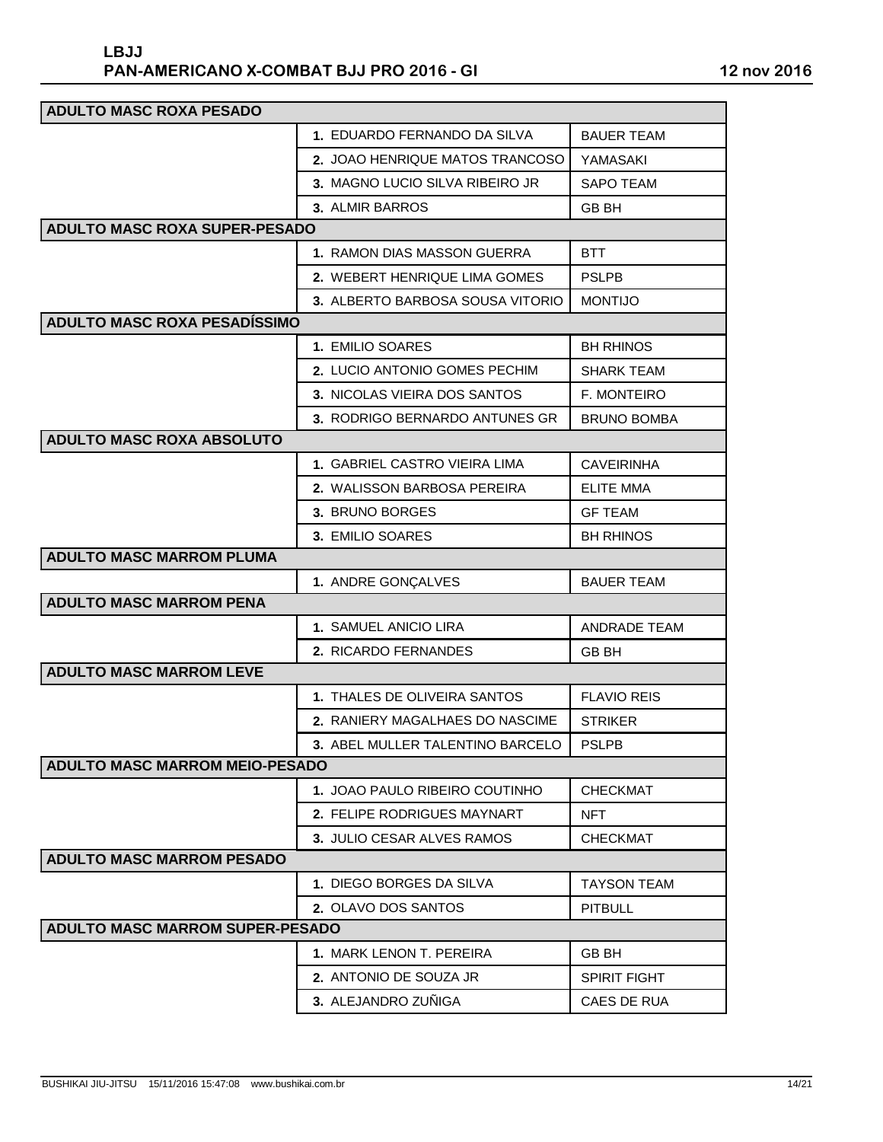| <b>ADULTO MASC ROXA PESADO</b>         |                                  |                     |  |
|----------------------------------------|----------------------------------|---------------------|--|
|                                        | 1. EDUARDO FERNANDO DA SILVA     | <b>BAUER TEAM</b>   |  |
|                                        | 2. JOAO HENRIQUE MATOS TRANCOSO  | YAMASAKI            |  |
|                                        | 3. MAGNO LUCIO SILVA RIBEIRO JR  | <b>SAPO TEAM</b>    |  |
|                                        | 3. ALMIR BARROS                  | GB BH               |  |
| <b>ADULTO MASC ROXA SUPER-PESADO</b>   |                                  |                     |  |
|                                        | 1. RAMON DIAS MASSON GUERRA      | <b>BTT</b>          |  |
|                                        | 2. WEBERT HENRIQUE LIMA GOMES    | <b>PSLPB</b>        |  |
|                                        | 3. ALBERTO BARBOSA SOUSA VITORIO | <b>MONTIJO</b>      |  |
| <b>ADULTO MASC ROXA PESADÍSSIMO</b>    |                                  |                     |  |
|                                        | 1. EMILIO SOARES                 | <b>BH RHINOS</b>    |  |
|                                        | 2. LUCIO ANTONIO GOMES PECHIM    | SHARK TEAM          |  |
|                                        | 3. NICOLAS VIEIRA DOS SANTOS     | F. MONTEIRO         |  |
|                                        | 3. RODRIGO BERNARDO ANTUNES GR   | <b>BRUNO BOMBA</b>  |  |
| <b>ADULTO MASC ROXA ABSOLUTO</b>       |                                  |                     |  |
|                                        | 1. GABRIEL CASTRO VIEIRA LIMA    | <b>CAVEIRINHA</b>   |  |
|                                        | 2. WALISSON BARBOSA PEREIRA      | <b>ELITE MMA</b>    |  |
|                                        | 3. BRUNO BORGES                  | <b>GF TEAM</b>      |  |
|                                        | 3. EMILIO SOARES                 | <b>BH RHINOS</b>    |  |
| <b>ADULTO MASC MARROM PLUMA</b>        |                                  |                     |  |
|                                        | 1. ANDRE GONÇALVES               | <b>BAUER TEAM</b>   |  |
| <b>ADULTO MASC MARROM PENA</b>         |                                  |                     |  |
|                                        | 1. SAMUEL ANICIO LIRA            | <b>ANDRADE TEAM</b> |  |
|                                        | 2. RICARDO FERNANDES             | GB BH               |  |
| <b>ADULTO MASC MARROM LEVE</b>         |                                  |                     |  |
|                                        | 1. THALES DE OLIVEIRA SANTOS     | <b>FLAVIO REIS</b>  |  |
|                                        | 2. RANIERY MAGALHAES DO NASCIME  | <b>STRIKER</b>      |  |
|                                        | 3. ABEL MULLER TALENTINO BARCELO | <b>PSLPB</b>        |  |
| <b>ADULTO MASC MARROM MEIO-PESADO</b>  |                                  |                     |  |
|                                        | 1. JOAO PAULO RIBEIRO COUTINHO   | <b>CHECKMAT</b>     |  |
|                                        | 2. FELIPE RODRIGUES MAYNART      | <b>NFT</b>          |  |
|                                        | 3. JULIO CESAR ALVES RAMOS       | CHECKMAT            |  |
| <b>ADULTO MASC MARROM PESADO</b>       |                                  |                     |  |
|                                        | 1. DIEGO BORGES DA SILVA         | <b>TAYSON TEAM</b>  |  |
|                                        | 2. OLAVO DOS SANTOS              | <b>PITBULL</b>      |  |
| <b>ADULTO MASC MARROM SUPER-PESADO</b> |                                  |                     |  |
|                                        | 1. MARK LENON T. PEREIRA         | <b>GB BH</b>        |  |
|                                        | 2. ANTONIO DE SOUZA JR           | <b>SPIRIT FIGHT</b> |  |
|                                        | 3. ALEJANDRO ZUÑIGA              | CAES DE RUA         |  |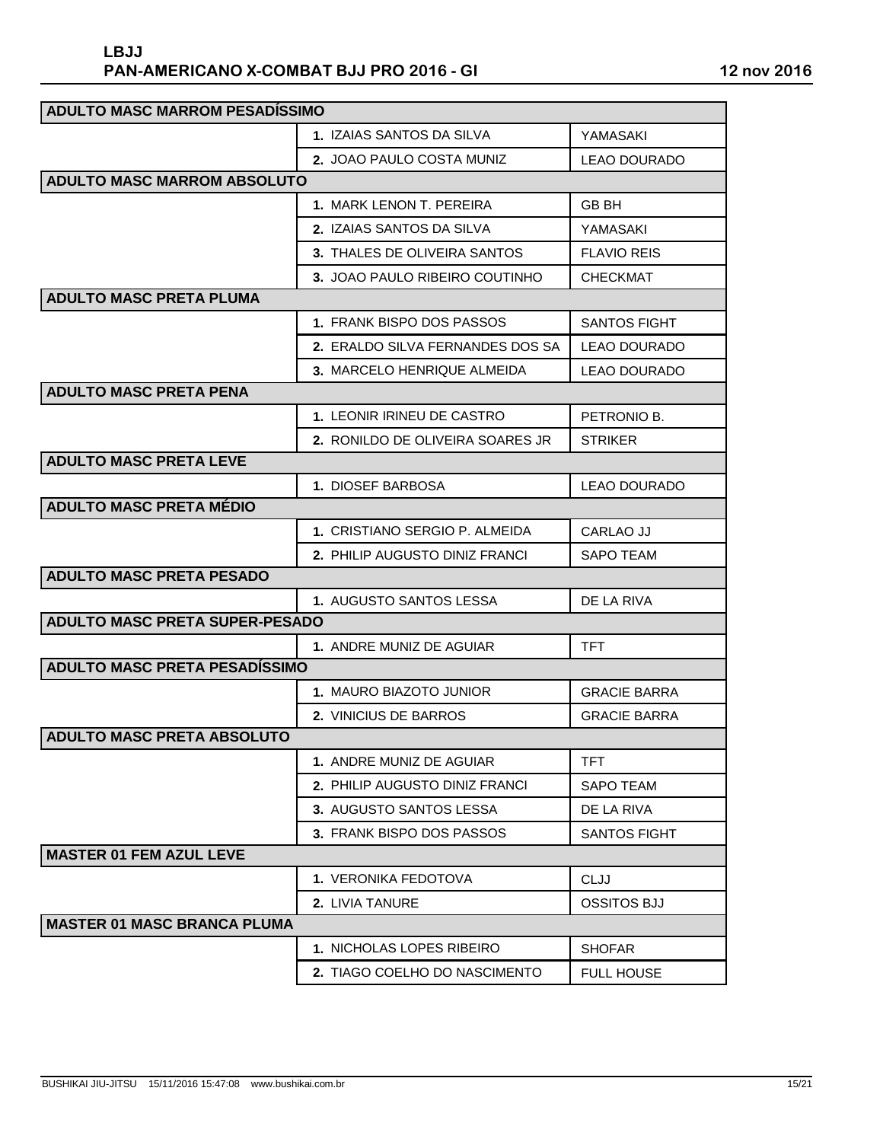| <b>ADULTO MASC MARROM PESADISSIMO</b> |                                  |                     |
|---------------------------------------|----------------------------------|---------------------|
|                                       | 1. IZAIAS SANTOS DA SILVA        | YAMASAKI            |
|                                       | 2. JOAO PAULO COSTA MUNIZ        | <b>LEAO DOURADO</b> |
| <b>ADULTO MASC MARROM ABSOLUTO</b>    |                                  |                     |
|                                       | 1. MARK LENON T. PEREIRA         | GB BH               |
|                                       | 2. IZAIAS SANTOS DA SILVA        | YAMASAKI            |
|                                       | 3. THALES DE OLIVEIRA SANTOS     | <b>FLAVIO REIS</b>  |
|                                       | 3. JOAO PAULO RIBEIRO COUTINHO   | <b>CHECKMAT</b>     |
| <b>ADULTO MASC PRETA PLUMA</b>        |                                  |                     |
|                                       | 1. FRANK BISPO DOS PASSOS        | <b>SANTOS FIGHT</b> |
|                                       | 2. ERALDO SILVA FERNANDES DOS SA | <b>LEAO DOURADO</b> |
|                                       | 3. MARCELO HENRIQUE ALMEIDA      | <b>LEAO DOURADO</b> |
| <b>ADULTO MASC PRETA PENA</b>         |                                  |                     |
|                                       | 1. LEONIR IRINEU DE CASTRO       | PETRONIO B.         |
|                                       | 2. RONILDO DE OLIVEIRA SOARES JR | <b>STRIKER</b>      |
| <b>ADULTO MASC PRETA LEVE</b>         |                                  |                     |
|                                       | 1. DIOSEF BARBOSA                | <b>LEAO DOURADO</b> |
| <b>ADULTO MASC PRETA MÉDIO</b>        |                                  |                     |
|                                       | 1. CRISTIANO SERGIO P. ALMEIDA   | <b>CARLAO JJ</b>    |
|                                       | 2. PHILIP AUGUSTO DINIZ FRANCI   | <b>SAPO TEAM</b>    |
| <b>ADULTO MASC PRETA PESADO</b>       |                                  |                     |
|                                       | 1. AUGUSTO SANTOS LESSA          | DE LA RIVA          |
| <b>ADULTO MASC PRETA SUPER-PESADO</b> |                                  |                     |
|                                       | 1. ANDRE MUNIZ DE AGUIAR         | TFT                 |
| <b>ADULTO MASC PRETA PESADÍSSIMO</b>  |                                  |                     |
|                                       | 1. MAURO BIAZOTO JUNIOR          | <b>GRACIE BARRA</b> |
|                                       | 2. VINICIUS DE BARROS            | <b>GRACIE BARRA</b> |
| <b>ADULTO MASC PRETA ABSOLUTO</b>     |                                  |                     |
|                                       | 1. ANDRE MUNIZ DE AGUIAR         | TFT                 |
|                                       | 2. PHILIP AUGUSTO DINIZ FRANCI   | <b>SAPO TEAM</b>    |
|                                       | 3. AUGUSTO SANTOS LESSA          | DE LA RIVA          |
|                                       | 3. FRANK BISPO DOS PASSOS        | <b>SANTOS FIGHT</b> |
| <b>MASTER 01 FEM AZUL LEVE</b>        |                                  |                     |
|                                       | <b>1. VERONIKA FEDOTOVA</b>      | <b>CLJJ</b>         |
|                                       | 2. LIVIA TANURE                  | <b>OSSITOS BJJ</b>  |
| <b>MASTER 01 MASC BRANCA PLUMA</b>    |                                  |                     |
|                                       | 1. NICHOLAS LOPES RIBEIRO        | <b>SHOFAR</b>       |
|                                       | 2. TIAGO COELHO DO NASCIMENTO    | <b>FULL HOUSE</b>   |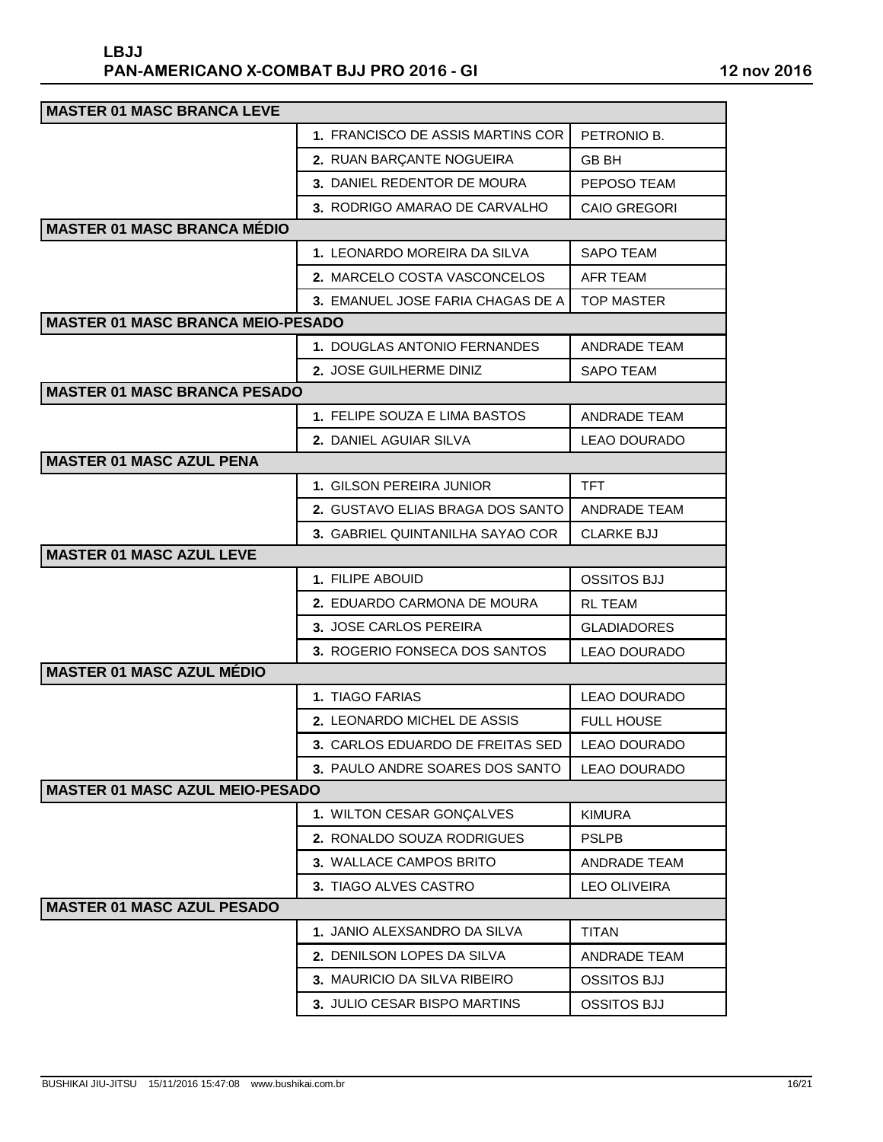| <b>MASTER 01 MASC BRANCA LEVE</b>        |                                   |                     |  |
|------------------------------------------|-----------------------------------|---------------------|--|
|                                          | 1. FRANCISCO DE ASSIS MARTINS COR | PETRONIO B.         |  |
|                                          | 2. RUAN BARÇANTE NOGUEIRA         | <b>GB BH</b>        |  |
|                                          | 3. DANIEL REDENTOR DE MOURA       | PEPOSO TEAM         |  |
|                                          | 3. RODRIGO AMARAO DE CARVALHO     | <b>CAIO GREGORI</b> |  |
| <b>MASTER 01 MASC BRANCA MÉDIO</b>       |                                   |                     |  |
|                                          | 1. LEONARDO MOREIRA DA SILVA      | <b>SAPO TEAM</b>    |  |
|                                          | 2. MARCELO COSTA VASCONCELOS      | <b>AFR TEAM</b>     |  |
|                                          | 3. EMANUEL JOSE FARIA CHAGAS DE A | <b>TOP MASTER</b>   |  |
| <b>MASTER 01 MASC BRANCA MEIO-PESADO</b> |                                   |                     |  |
|                                          | 1. DOUGLAS ANTONIO FERNANDES      | <b>ANDRADE TEAM</b> |  |
|                                          | 2. JOSE GUILHERME DINIZ           | <b>SAPO TEAM</b>    |  |
| <b>MASTER 01 MASC BRANCA PESADO</b>      |                                   |                     |  |
|                                          | 1. FELIPE SOUZA E LIMA BASTOS     | <b>ANDRADE TEAM</b> |  |
|                                          | <b>2. DANIEL AGUIAR SILVA</b>     | <b>LEAO DOURADO</b> |  |
| <b>MASTER 01 MASC AZUL PENA</b>          |                                   |                     |  |
|                                          | 1. GILSON PEREIRA JUNIOR          | <b>TFT</b>          |  |
|                                          | 2. GUSTAVO ELIAS BRAGA DOS SANTO  | ANDRADE TEAM        |  |
|                                          | 3. GABRIEL QUINTANILHA SAYAO COR  | <b>CLARKE BJJ</b>   |  |
| <b>MASTER 01 MASC AZUL LEVE</b>          |                                   |                     |  |
|                                          | 1. FILIPE ABOUID                  | <b>OSSITOS BJJ</b>  |  |
|                                          | 2. EDUARDO CARMONA DE MOURA       | <b>RL TEAM</b>      |  |
|                                          | 3. JOSE CARLOS PEREIRA            | <b>GLADIADORES</b>  |  |
|                                          | 3. ROGERIO FONSECA DOS SANTOS     | <b>LEAO DOURADO</b> |  |
| <b>MASTER 01 MASC AZUL MÉDIO</b>         |                                   |                     |  |
|                                          | 1. TIAGO FARIAS                   | <b>LEAO DOURADO</b> |  |
|                                          | 2. LEONARDO MICHEL DE ASSIS       | <b>FULL HOUSE</b>   |  |
|                                          | 3. CARLOS EDUARDO DE FREITAS SED  | EAO DOURADO         |  |
|                                          | 3. PAULO ANDRE SOARES DOS SANTO   | <b>LEAO DOURADO</b> |  |
| <b>MASTER 01 MASC AZUL MEIO-PESADO</b>   |                                   |                     |  |
|                                          | 1. WILTON CESAR GONÇALVES         | <b>KIMURA</b>       |  |
|                                          | 2. RONALDO SOUZA RODRIGUES        | <b>PSLPB</b>        |  |
|                                          | 3. WALLACE CAMPOS BRITO           | ANDRADE TEAM        |  |
|                                          | 3. TIAGO ALVES CASTRO             | <b>LEO OLIVEIRA</b> |  |
| <b>MASTER 01 MASC AZUL PESADO</b>        |                                   |                     |  |
|                                          | 1. JANIO ALEXSANDRO DA SILVA      | <b>TITAN</b>        |  |
|                                          | 2. DENILSON LOPES DA SILVA        | <b>ANDRADE TEAM</b> |  |
|                                          | 3. MAURICIO DA SILVA RIBEIRO      | <b>OSSITOS BJJ</b>  |  |
|                                          | 3. JULIO CESAR BISPO MARTINS      | <b>OSSITOS BJJ</b>  |  |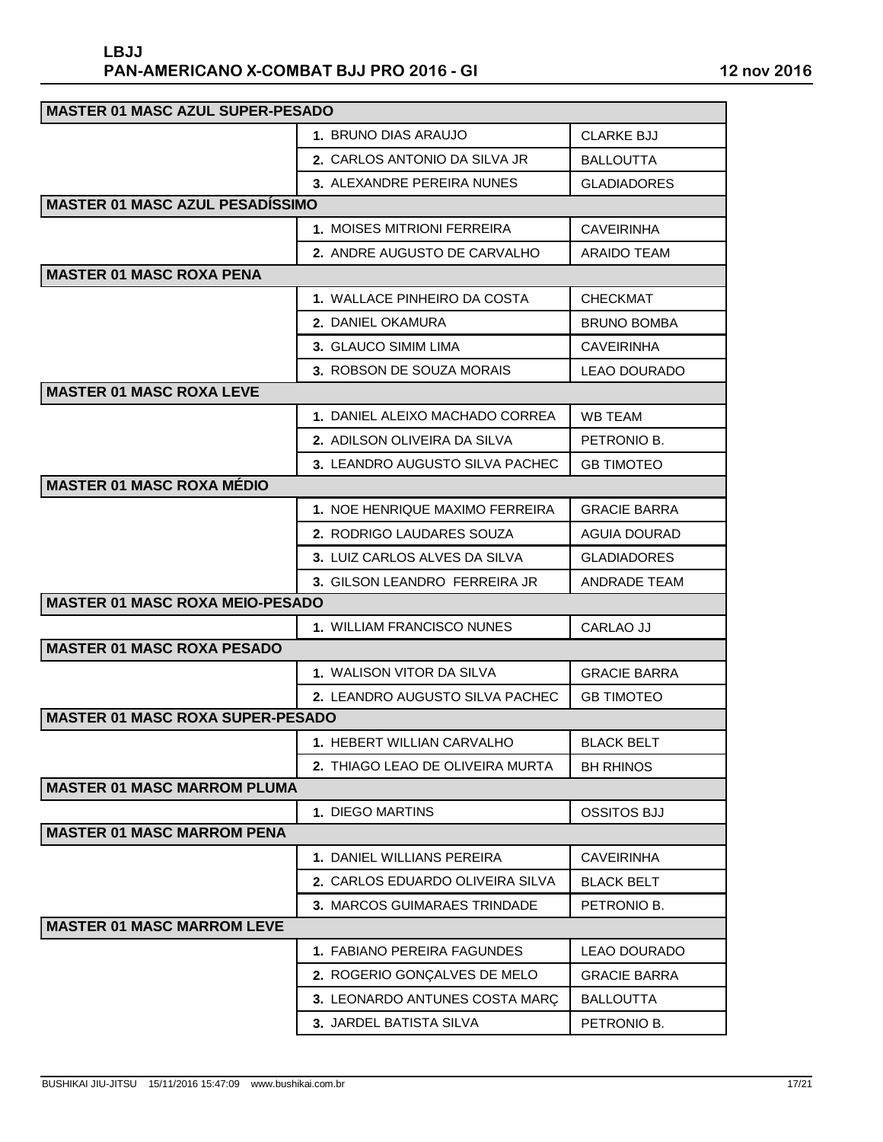| <b>MASTER 01 MASC AZUL SUPER-PESADO</b> |                                      |                     |  |
|-----------------------------------------|--------------------------------------|---------------------|--|
|                                         | 1. BRUNO DIAS ARAUJO                 | <b>CLARKE BJJ</b>   |  |
|                                         | <b>2. CARLOS ANTONIO DA SILVA JR</b> | BALLOUTTA           |  |
|                                         | 3. ALEXANDRE PEREIRA NUNES           | <b>GLADIADORES</b>  |  |
| <b>MASTER 01 MASC AZUL PESADISSIMO</b>  |                                      |                     |  |
|                                         | 1. MOISES MITRIONI FERREIRA          | <b>CAVEIRINHA</b>   |  |
|                                         | 2. ANDRE AUGUSTO DE CARVALHO         | ARAIDO TEAM         |  |
| <b>MASTER 01 MASC ROXA PENA</b>         |                                      |                     |  |
|                                         | 1. WALLACE PINHEIRO DA COSTA         | <b>CHECKMAT</b>     |  |
|                                         | 2. DANIEL OKAMURA                    | <b>BRUNO BOMBA</b>  |  |
|                                         | <b>3. GLAUCO SIMIM LIMA</b>          | <b>CAVEIRINHA</b>   |  |
|                                         | 3. ROBSON DE SOUZA MORAIS            | LEAO DOURADO        |  |
| <b>MASTER 01 MASC ROXA LEVE</b>         |                                      |                     |  |
|                                         | 1. DANIEL ALEIXO MACHADO CORREA      | WB TEAM             |  |
|                                         | <b>2. ADILSON OLIVEIRA DA SILVA</b>  | PETRONIO B.         |  |
|                                         | 3. LEANDRO AUGUSTO SILVA PACHEC      | <b>GB TIMOTEO</b>   |  |
| <b>MASTER 01 MASC ROXA MÉDIO</b>        |                                      |                     |  |
|                                         | 1. NOE HENRIQUE MAXIMO FERREIRA      | <b>GRACIE BARRA</b> |  |
|                                         | 2. RODRIGO LAUDARES SOUZA            | <b>AGUIA DOURAD</b> |  |
|                                         | 3. LUIZ CARLOS ALVES DA SILVA        | <b>GLADIADORES</b>  |  |
|                                         | 3. GILSON LEANDRO FERREIRA JR        | ANDRADE TEAM        |  |
| <b>MASTER 01 MASC ROXA MEIO-PESADO</b>  |                                      |                     |  |
|                                         | 1. WILLIAM FRANCISCO NUNES           | CARLAO JJ           |  |
| <b>MASTER 01 MASC ROXA PESADO</b>       |                                      |                     |  |
|                                         | <b>1. WALISON VITOR DA SILVA</b>     | <b>GRACIE BARRA</b> |  |
|                                         | 2. LEANDRO AUGUSTO SILVA PACHEC      | <b>GB TIMOTEO</b>   |  |
| <b>MASTER 01 MASC ROXA SUPER-PESADO</b> |                                      |                     |  |
|                                         | 1. HEBERT WILLIAN CARVALHO           | <b>BLACK BELT</b>   |  |
|                                         | 2. THIAGO LEAO DE OLIVEIRA MURTA     | <b>BH RHINOS</b>    |  |
| <b>MASTER 01 MASC MARROM PLUMA</b>      |                                      |                     |  |
|                                         | 1. DIEGO MARTINS                     | <b>OSSITOS BJJ</b>  |  |
| <b>MASTER 01 MASC MARROM PENA</b>       |                                      |                     |  |
|                                         | <b>1. DANIEL WILLIANS PEREIRA</b>    | <b>CAVEIRINHA</b>   |  |
|                                         | 2. CARLOS EDUARDO OLIVEIRA SILVA     | <b>BLACK BELT</b>   |  |
|                                         | 3. MARCOS GUIMARAES TRINDADE         | PETRONIO B.         |  |
| <b>MASTER 01 MASC MARROM LEVE</b>       |                                      |                     |  |
|                                         | 1. FABIANO PEREIRA FAGUNDES          | <b>LEAO DOURADO</b> |  |
|                                         | 2. ROGERIO GONÇALVES DE MELO         | <b>GRACIE BARRA</b> |  |
|                                         | 3. LEONARDO ANTUNES COSTA MARÇ       | <b>BALLOUTTA</b>    |  |
|                                         | 3. JARDEL BATISTA SILVA              | PETRONIO B.         |  |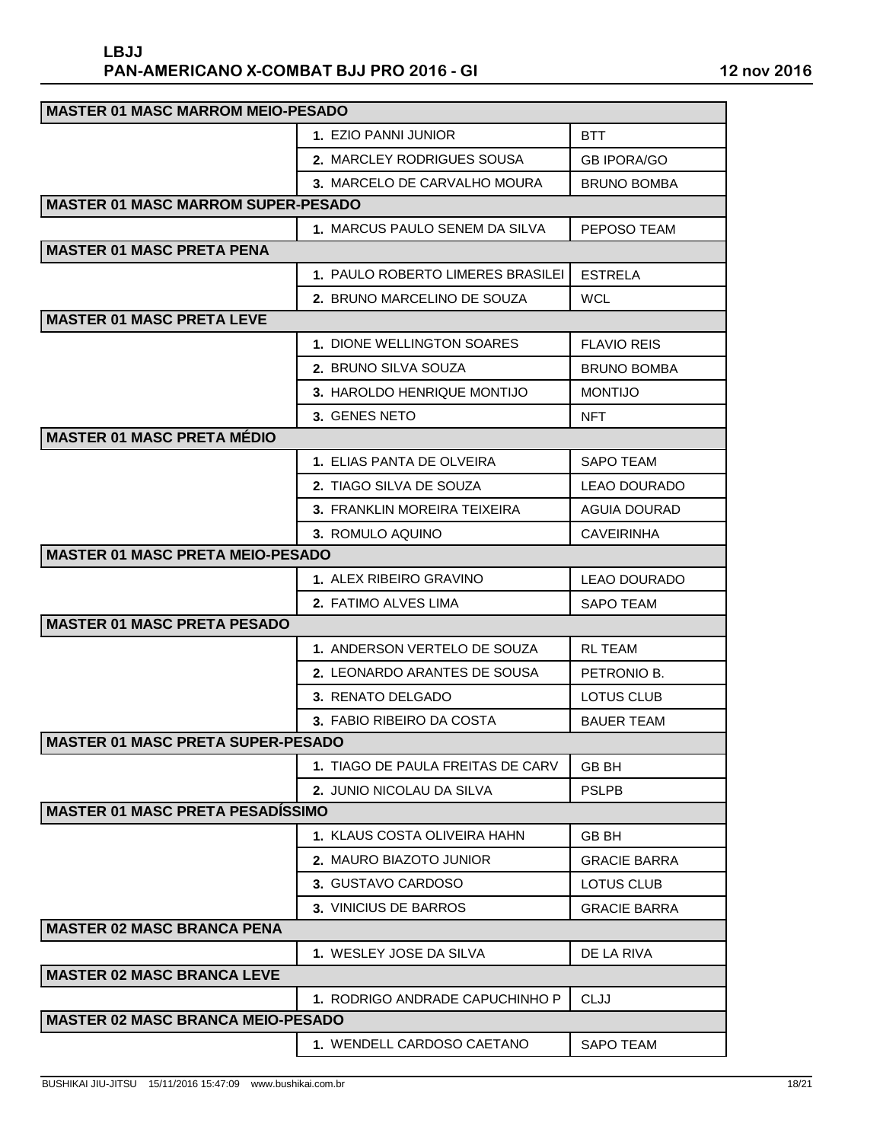| <b>MASTER 01 MASC MARROM MEIO-PESADO</b>  |                                   |                     |  |
|-------------------------------------------|-----------------------------------|---------------------|--|
|                                           | 1. EZIO PANNI JUNIOR              | <b>BTT</b>          |  |
|                                           | <b>2. MARCLEY RODRIGUES SOUSA</b> | <b>GB IPORA/GO</b>  |  |
|                                           | 3. MARCELO DE CARVALHO MOURA      | <b>BRUNO BOMBA</b>  |  |
| <b>MASTER 01 MASC MARROM SUPER-PESADO</b> |                                   |                     |  |
|                                           | 1. MARCUS PAULO SENEM DA SILVA    | PEPOSO TEAM         |  |
| <b>MASTER 01 MASC PRETA PENA</b>          |                                   |                     |  |
|                                           | 1. PAULO ROBERTO LIMERES BRASILEI | <b>ESTRELA</b>      |  |
|                                           | 2. BRUNO MARCELINO DE SOUZA       | <b>WCL</b>          |  |
| <b>MASTER 01 MASC PRETA LEVE</b>          |                                   |                     |  |
|                                           | 1. DIONE WELLINGTON SOARES        | <b>FLAVIO REIS</b>  |  |
|                                           | <b>2. BRUNO SILVA SOUZA</b>       | <b>BRUNO BOMBA</b>  |  |
|                                           | 3. HAROLDO HENRIQUE MONTIJO       | <b>MONTIJO</b>      |  |
|                                           | 3. GENES NETO                     | NFT.                |  |
| <b>MASTER 01 MASC PRETA MÉDIO</b>         |                                   |                     |  |
|                                           | <b>1. ELIAS PANTA DE OLVEIRA</b>  | SAPO TEAM           |  |
|                                           | 2. TIAGO SILVA DE SOUZA           | <b>LEAO DOURADO</b> |  |
|                                           | 3. FRANKLIN MOREIRA TEIXEIRA      | AGUIA DOURAD        |  |
|                                           | 3. ROMULO AQUINO                  | <b>CAVEIRINHA</b>   |  |
| <b>MASTER 01 MASC PRETA MEIO-PESADO</b>   |                                   |                     |  |
|                                           | 1. ALEX RIBEIRO GRAVINO           | LEAO DOURADO        |  |
|                                           | 2. FATIMO ALVES LIMA              | <b>SAPO TEAM</b>    |  |
| <b>MASTER 01 MASC PRETA PESADO</b>        |                                   |                     |  |
|                                           | 1. ANDERSON VERTELO DE SOUZA      | RL TEAM             |  |
|                                           | 2. LEONARDO ARANTES DE SOUSA      | PETRONIO B.         |  |
|                                           | 3. RENATO DELGADO                 | LOTUS CLUB          |  |
|                                           | 3. FABIO RIBEIRO DA COSTA         | <b>BAUER TEAM</b>   |  |
| <b>MASTER 01 MASC PRETA SUPER-PESADO</b>  |                                   |                     |  |
|                                           | 1. TIAGO DE PAULA FREITAS DE CARV | <b>GB BH</b>        |  |
|                                           | 2. JUNIO NICOLAU DA SILVA         | <b>PSLPB</b>        |  |
| <b>MASTER 01 MASC PRETA PESADÍSSIMO</b>   |                                   |                     |  |
|                                           | 1. KLAUS COSTA OLIVEIRA HAHN      | <b>GB BH</b>        |  |
|                                           | 2. MAURO BIAZOTO JUNIOR           | <b>GRACIE BARRA</b> |  |
|                                           | 3. GUSTAVO CARDOSO                | <b>LOTUS CLUB</b>   |  |
|                                           | 3. VINICIUS DE BARROS             | <b>GRACIE BARRA</b> |  |
| <b>MASTER 02 MASC BRANCA PENA</b>         |                                   |                     |  |
|                                           | 1. WESLEY JOSE DA SILVA           | DE LA RIVA          |  |
| <b>MASTER 02 MASC BRANCA LEVE</b>         |                                   |                     |  |
|                                           | 1. RODRIGO ANDRADE CAPUCHINHO P   | <b>CLJJ</b>         |  |
| <b>MASTER 02 MASC BRANCA MEIO-PESADO</b>  |                                   |                     |  |
|                                           | 1. WENDELL CARDOSO CAETANO        | <b>SAPO TEAM</b>    |  |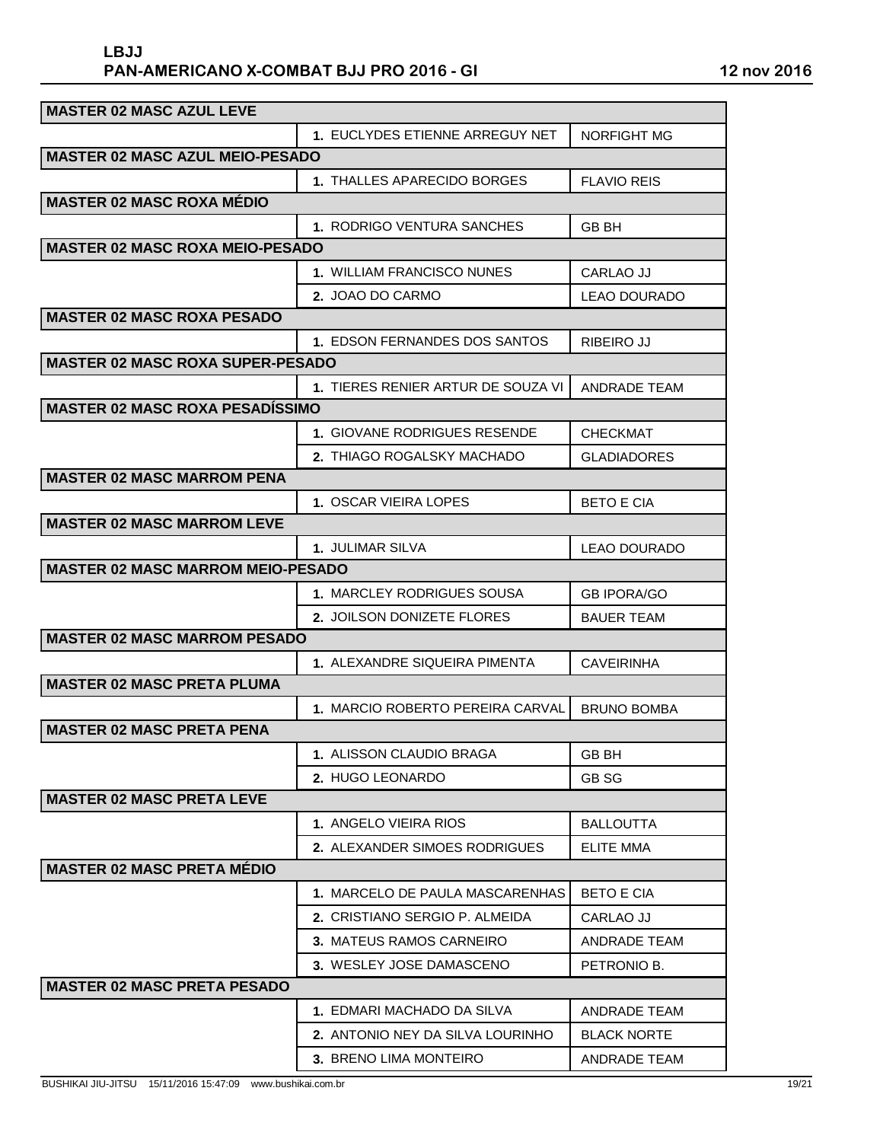| <b>MASTER 02 MASC AZUL LEVE</b>          |                                      |                     |  |
|------------------------------------------|--------------------------------------|---------------------|--|
|                                          | 1. EUCLYDES ETIENNE ARREGUY NET      | <b>NORFIGHT MG</b>  |  |
| <b>MASTER 02 MASC AZUL MEIO-PESADO</b>   |                                      |                     |  |
|                                          | 1. THALLES APARECIDO BORGES          | FLAVIO REIS         |  |
| <b>MASTER 02 MASC ROXA MÉDIO</b>         |                                      |                     |  |
|                                          | 1. RODRIGO VENTURA SANCHES           | GB BH               |  |
| <b>MASTER 02 MASC ROXA MEIO-PESADO</b>   |                                      |                     |  |
|                                          | 1. WILLIAM FRANCISCO NUNES           | CARLAO JJ           |  |
|                                          | 2. JOAO DO CARMO                     | <b>LEAO DOURADO</b> |  |
| <b>MASTER 02 MASC ROXA PESADO</b>        |                                      |                     |  |
|                                          | 1. EDSON FERNANDES DOS SANTOS        | <b>RIBEIRO JJ</b>   |  |
| <b>MASTER 02 MASC ROXA SUPER-PESADO</b>  |                                      |                     |  |
|                                          | 1. TIERES RENIER ARTUR DE SOUZA VI   | ANDRADE TEAM        |  |
| <b>MASTER 02 MASC ROXA PESADÍSSIMO</b>   |                                      |                     |  |
|                                          | 1. GIOVANE RODRIGUES RESENDE         | <b>CHECKMAT</b>     |  |
|                                          | <b>2. THIAGO ROGALSKY MACHADO</b>    | <b>GLADIADORES</b>  |  |
| <b>MASTER 02 MASC MARROM PENA</b>        |                                      |                     |  |
|                                          | 1. OSCAR VIEIRA LOPES                | <b>BETO E CIA</b>   |  |
| <b>MASTER 02 MASC MARROM LEVE</b>        |                                      |                     |  |
|                                          | <b>1. JULIMAR SILVA</b>              | LEAO DOURADO        |  |
| <b>MASTER 02 MASC MARROM MEIO-PESADO</b> |                                      |                     |  |
|                                          | 1. MARCLEY RODRIGUES SOUSA           | <b>GB IPORA/GO</b>  |  |
|                                          | <b>2. JOILSON DONIZETE FLORES</b>    | <b>BAUER TEAM</b>   |  |
| <b>MASTER 02 MASC MARROM PESADO</b>      |                                      |                     |  |
|                                          | 1. ALEXANDRE SIQUEIRA PIMENTA        | <b>CAVEIRINHA</b>   |  |
| <b>MASTER 02 MASC PRETA PLUMA</b>        |                                      |                     |  |
|                                          | 1. MARCIO ROBERTO PEREIRA CARVAL     | <b>BRUNO BOMBA</b>  |  |
| <b>MASTER 02 MASC PRETA PENA</b>         |                                      |                     |  |
|                                          | 1. ALISSON CLAUDIO BRAGA             | <b>GB BH</b>        |  |
|                                          | 2. HUGO LEONARDO                     | GB SG               |  |
| <b>MASTER 02 MASC PRETA LEVE</b>         |                                      |                     |  |
|                                          | 1. ANGELO VIEIRA RIOS                | <b>BALLOUTTA</b>    |  |
|                                          | <b>2. ALEXANDER SIMOES RODRIGUES</b> | <b>ELITE MMA</b>    |  |
| <b>MASTER 02 MASC PRETA MÉDIO</b>        |                                      |                     |  |
|                                          | 1. MARCELO DE PAULA MASCARENHAS      | <b>BETO E CIA</b>   |  |
|                                          | 2. CRISTIANO SERGIO P. ALMEIDA       | CARLAO JJ           |  |
|                                          | 3. MATEUS RAMOS CARNEIRO             | ANDRADE TEAM        |  |
|                                          | 3. WESLEY JOSE DAMASCENO             | PETRONIO B.         |  |
| <b>MASTER 02 MASC PRETA PESADO</b>       |                                      |                     |  |
|                                          | 1. EDMARI MACHADO DA SILVA           | <b>ANDRADE TEAM</b> |  |
|                                          | 2. ANTONIO NEY DA SILVA LOURINHO     | <b>BLACK NORTE</b>  |  |
|                                          | 3. BRENO LIMA MONTEIRO               | ANDRADE TEAM        |  |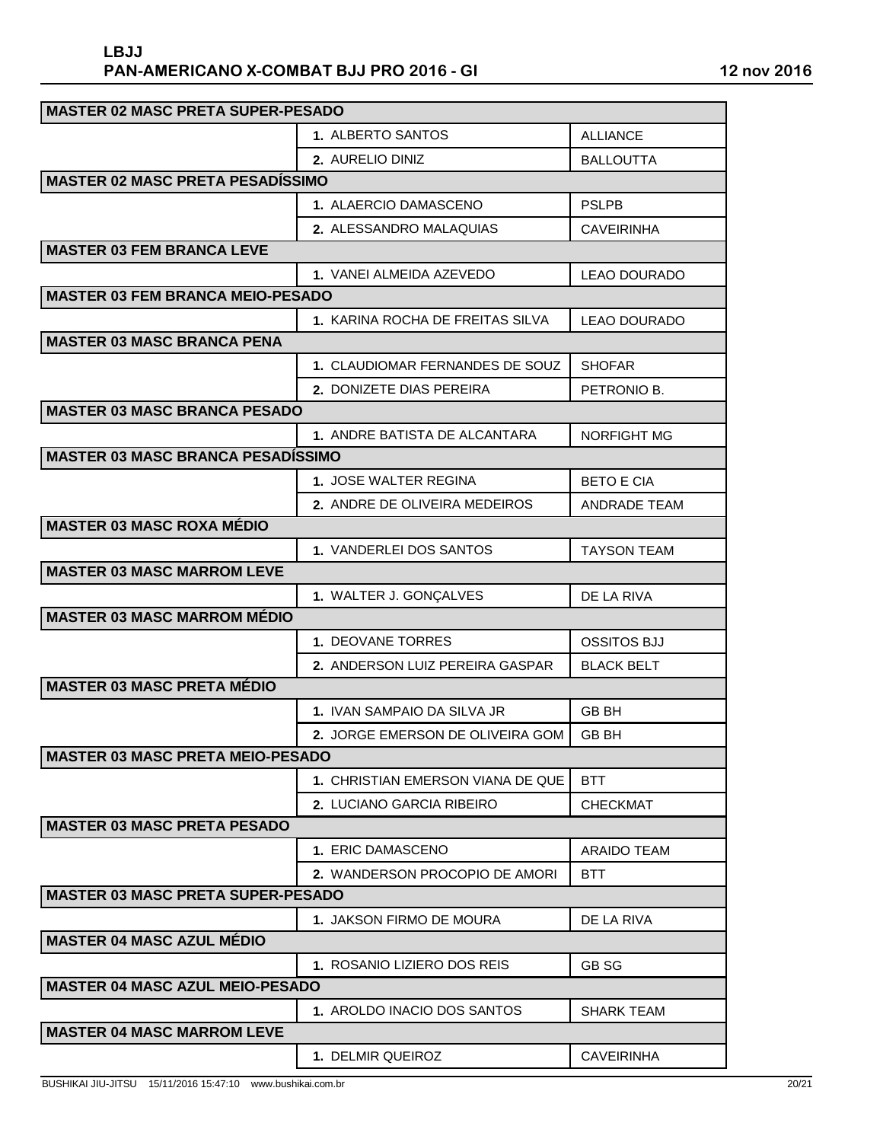| <b>MASTER 02 MASC PRETA SUPER-PESADO</b> |                                   |                     |  |
|------------------------------------------|-----------------------------------|---------------------|--|
|                                          | 1. ALBERTO SANTOS                 | <b>ALLIANCE</b>     |  |
|                                          | <b>2. AURELIO DINIZ</b>           | <b>BALLOUTTA</b>    |  |
| <b>MASTER 02 MASC PRETA PESADÍSSIMO</b>  |                                   |                     |  |
|                                          | <b>1. ALAERCIO DAMASCENO</b>      | <b>PSLPB</b>        |  |
|                                          | 2. ALESSANDRO MALAQUIAS           | <b>CAVEIRINHA</b>   |  |
| <b>MASTER 03 FEM BRANCA LEVE</b>         |                                   |                     |  |
|                                          | 1. VANEI ALMEIDA AZEVEDO          | <b>LEAO DOURADO</b> |  |
| <b>MASTER 03 FEM BRANCA MEIO-PESADO</b>  |                                   |                     |  |
|                                          | 1. KARINA ROCHA DE FREITAS SILVA  | LEAO DOURADO        |  |
| <b>MASTER 03 MASC BRANCA PENA</b>        |                                   |                     |  |
|                                          | 1. CLAUDIOMAR FERNANDES DE SOUZ   | <b>SHOFAR</b>       |  |
|                                          | 2. DONIZETE DIAS PEREIRA          | PETRONIO B.         |  |
| <b>MASTER 03 MASC BRANCA PESADO</b>      |                                   |                     |  |
|                                          | 1. ANDRE BATISTA DE ALCANTARA     | <b>NORFIGHT MG</b>  |  |
| <b>MASTER 03 MASC BRANCA PESADÍSSIMO</b> |                                   |                     |  |
|                                          | 1. JOSE WALTER REGINA             | <b>BETO E CIA</b>   |  |
|                                          | 2. ANDRE DE OLIVEIRA MEDEIROS     | <b>ANDRADE TEAM</b> |  |
| <b>MASTER 03 MASC ROXA MÉDIO</b>         |                                   |                     |  |
|                                          | 1. VANDERLEI DOS SANTOS           | <b>TAYSON TEAM</b>  |  |
| <b>MASTER 03 MASC MARROM LEVE</b>        |                                   |                     |  |
|                                          | 1. WALTER J. GONÇALVES            | DE LA RIVA          |  |
| <b>MASTER 03 MASC MARROM MÉDIO</b>       |                                   |                     |  |
|                                          | 1. DEOVANE TORRES                 | <b>OSSITOS BJJ</b>  |  |
|                                          | 2. ANDERSON LUIZ PEREIRA GASPAR   | <b>BLACK BELT</b>   |  |
| <b>MASTER 03 MASC PRETA MÉDIO</b>        |                                   |                     |  |
|                                          | 1. IVAN SAMPAIO DA SILVA JR       | GB BH               |  |
|                                          | 2. JORGE EMERSON DE OLIVEIRA GOM  | GB BH               |  |
| <b>MASTER 03 MASC PRETA MEIO-PESADO</b>  |                                   |                     |  |
|                                          | 1. CHRISTIAN EMERSON VIANA DE QUE | <b>BTT</b>          |  |
|                                          | 2. LUCIANO GARCIA RIBEIRO         | <b>CHECKMAT</b>     |  |
| <b>MASTER 03 MASC PRETA PESADO</b>       |                                   |                     |  |
|                                          | 1. ERIC DAMASCENO                 | <b>ARAIDO TEAM</b>  |  |
|                                          | 2. WANDERSON PROCOPIO DE AMORI    | <b>BTT</b>          |  |
| <b>MASTER 03 MASC PRETA SUPER-PESADO</b> |                                   |                     |  |
|                                          | 1. JAKSON FIRMO DE MOURA          | DE LA RIVA          |  |
| <b>MASTER 04 MASC AZUL MÉDIO</b>         |                                   |                     |  |
|                                          | 1. ROSANIO LIZIERO DOS REIS       | <b>GB SG</b>        |  |
| <b>MASTER 04 MASC AZUL MEIO-PESADO</b>   |                                   |                     |  |
|                                          | 1. AROLDO INACIO DOS SANTOS       | SHARK TEAM          |  |
| <b>MASTER 04 MASC MARROM LEVE</b>        |                                   |                     |  |
|                                          | 1. DELMIR QUEIROZ                 | <b>CAVEIRINHA</b>   |  |